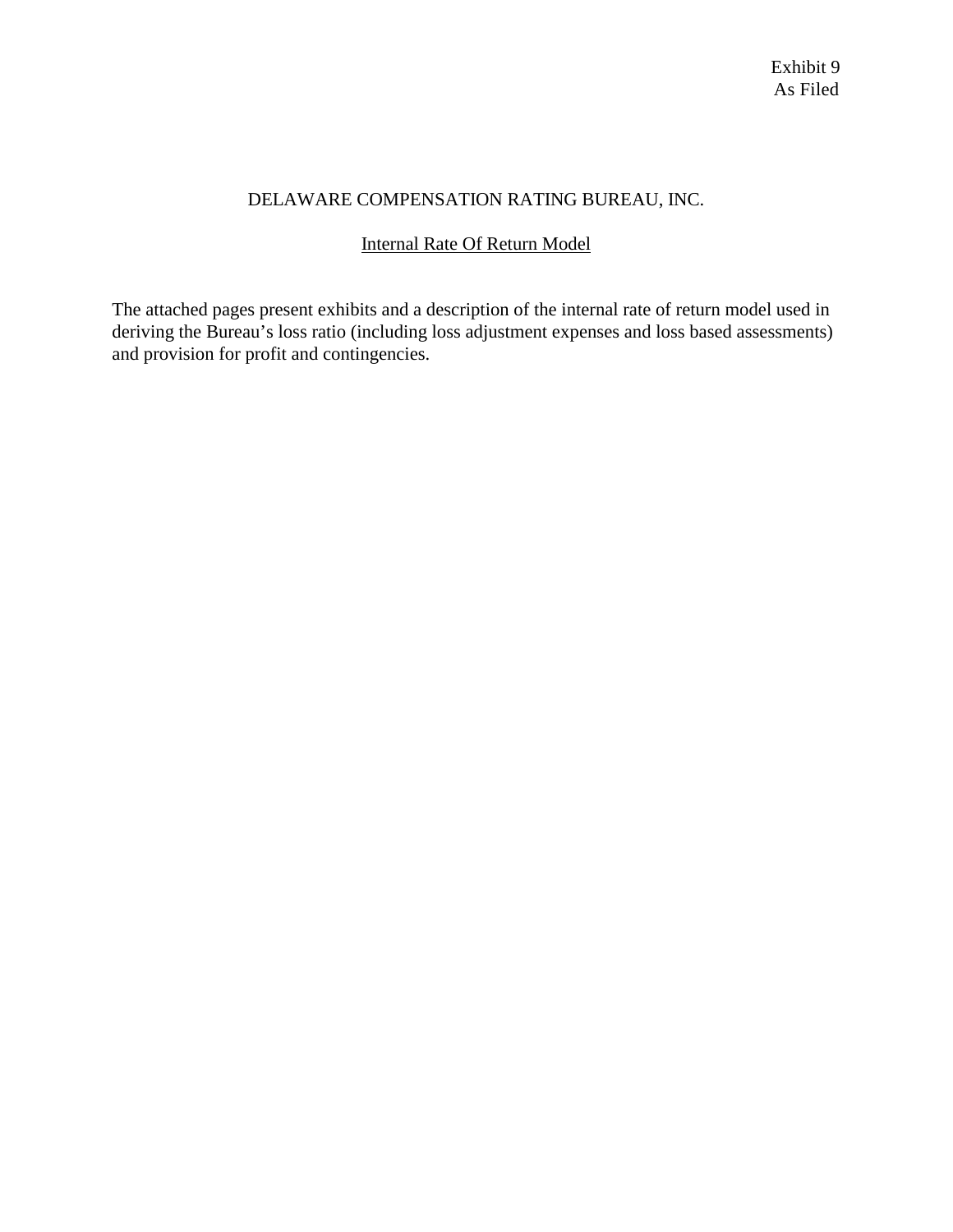# DELAWARE COMPENSATION RATING BUREAU, INC.

# Internal Rate Of Return Model

The attached pages present exhibits and a description of the internal rate of return model used in deriving the Bureau's loss ratio (including loss adjustment expenses and loss based assessments) and provision for profit and contingencies.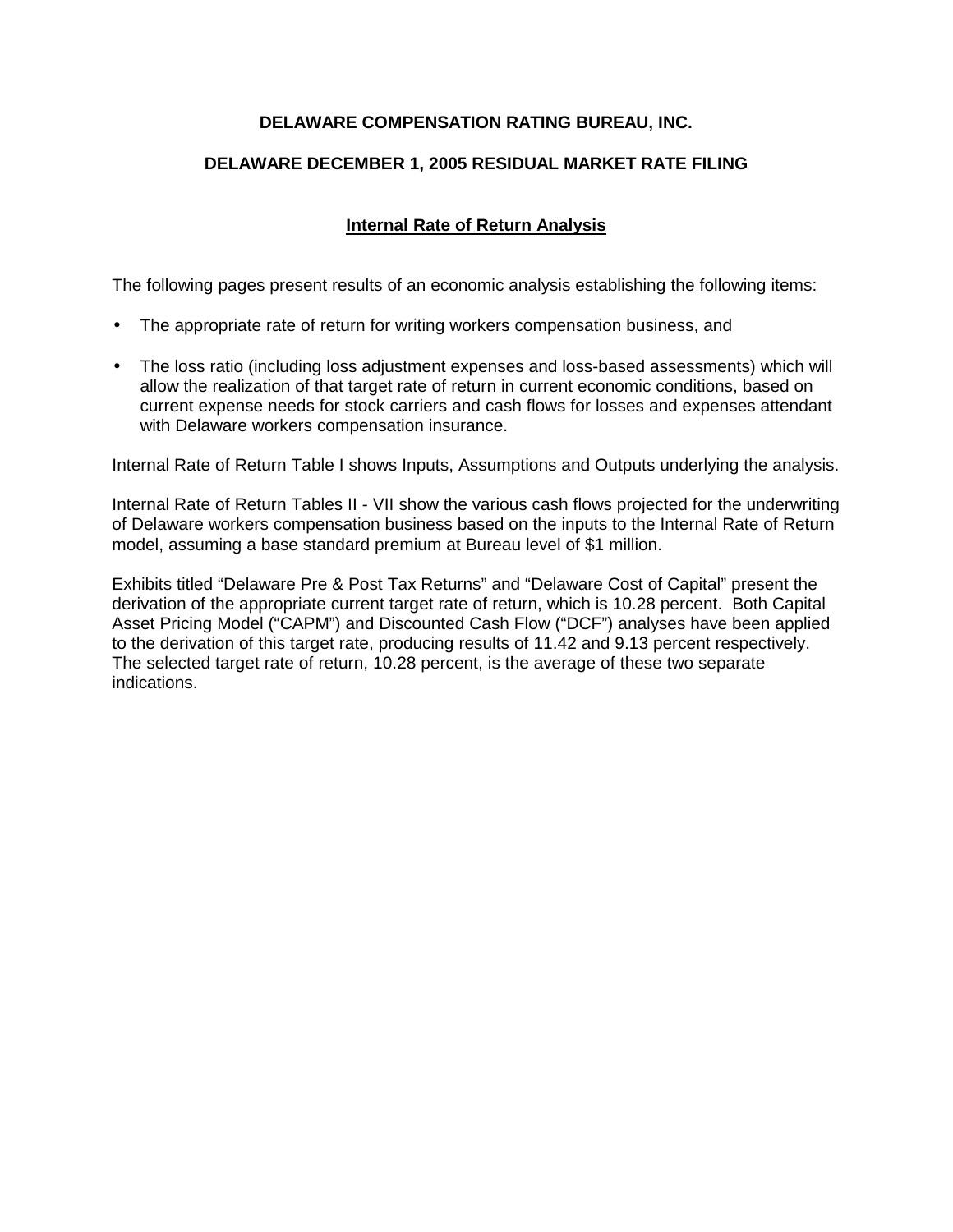# **DELAWARE COMPENSATION RATING BUREAU, INC.**

# **DELAWARE DECEMBER 1, 2005 RESIDUAL MARKET RATE FILING**

# **Internal Rate of Return Analysis**

The following pages present results of an economic analysis establishing the following items:

- The appropriate rate of return for writing workers compensation business, and
- The loss ratio (including loss adjustment expenses and loss-based assessments) which will allow the realization of that target rate of return in current economic conditions, based on current expense needs for stock carriers and cash flows for losses and expenses attendant with Delaware workers compensation insurance.

Internal Rate of Return Table I shows Inputs, Assumptions and Outputs underlying the analysis.

Internal Rate of Return Tables II - VII show the various cash flows projected for the underwriting of Delaware workers compensation business based on the inputs to the Internal Rate of Return model, assuming a base standard premium at Bureau level of \$1 million.

Exhibits titled "Delaware Pre & Post Tax Returns" and "Delaware Cost of Capital" present the derivation of the appropriate current target rate of return, which is 10.28 percent. Both Capital Asset Pricing Model ("CAPM") and Discounted Cash Flow ("DCF") analyses have been applied to the derivation of this target rate, producing results of 11.42 and 9.13 percent respectively. The selected target rate of return, 10.28 percent, is the average of these two separate indications.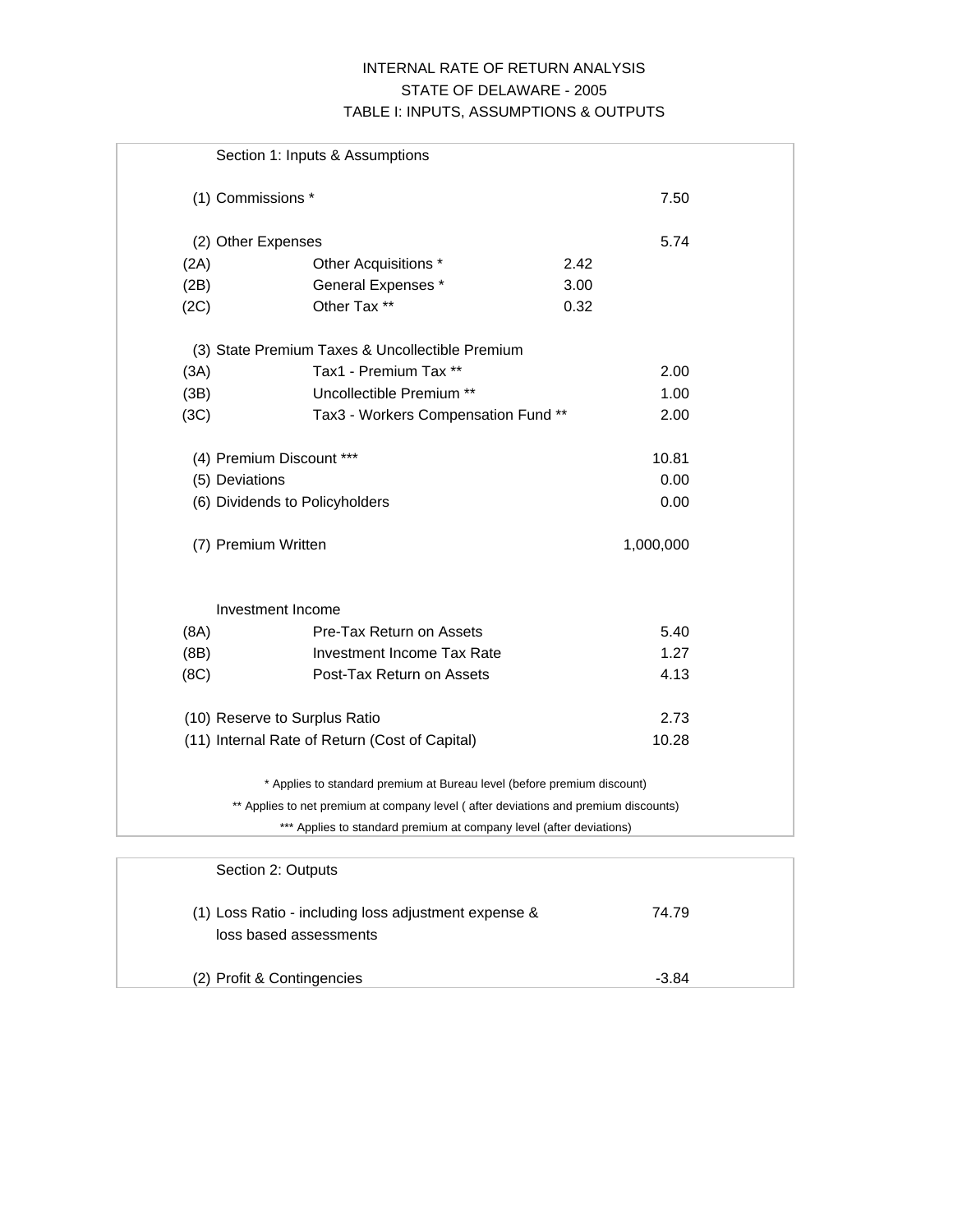## INTERNAL RATE OF RETURN ANALYSIS STATE OF DELAWARE - 2005 TABLE I: INPUTS, ASSUMPTIONS & OUTPUTS

|      | Section 1: Inputs & Assumptions                                                     |           |
|------|-------------------------------------------------------------------------------------|-----------|
|      | (1) Commissions *                                                                   | 7.50      |
|      | (2) Other Expenses                                                                  | 5.74      |
| (2A) | Other Acquisitions *                                                                | 2.42      |
| (2B) | General Expenses *                                                                  | 3.00      |
| (2C) | Other Tax **                                                                        | 0.32      |
|      | (3) State Premium Taxes & Uncollectible Premium                                     |           |
| (3A) | Tax1 - Premium Tax **                                                               | 2.00      |
| (3B) | Uncollectible Premium **                                                            | 1.00      |
| (3C) | Tax3 - Workers Compensation Fund **                                                 | 2.00      |
|      | (4) Premium Discount ***                                                            | 10.81     |
|      | (5) Deviations                                                                      | 0.00      |
|      | (6) Dividends to Policyholders                                                      | 0.00      |
|      | (7) Premium Written                                                                 | 1,000,000 |
|      | Investment Income                                                                   |           |
| (8A) | Pre-Tax Return on Assets                                                            | 5.40      |
| (BB) | <b>Investment Income Tax Rate</b>                                                   | 1.27      |
| (8C) | Post-Tax Return on Assets                                                           | 4.13      |
|      | (10) Reserve to Surplus Ratio                                                       | 2.73      |
|      | (11) Internal Rate of Return (Cost of Capital)                                      | 10.28     |
|      | * Applies to standard premium at Bureau level (before premium discount)             |           |
|      | ** Applies to net premium at company level (after deviations and premium discounts) |           |
|      | *** Applies to standard premium at company level (after deviations)                 |           |
|      | Section 2: Outputs                                                                  |           |

| (2) Profit & Contingencies                                                     | $-3.84$ |  |
|--------------------------------------------------------------------------------|---------|--|
| (1) Loss Ratio - including loss adjustment expense &<br>loss based assessments | 74.79   |  |
| <b>OCUIDITZ.</b> OUIPUIS                                                       |         |  |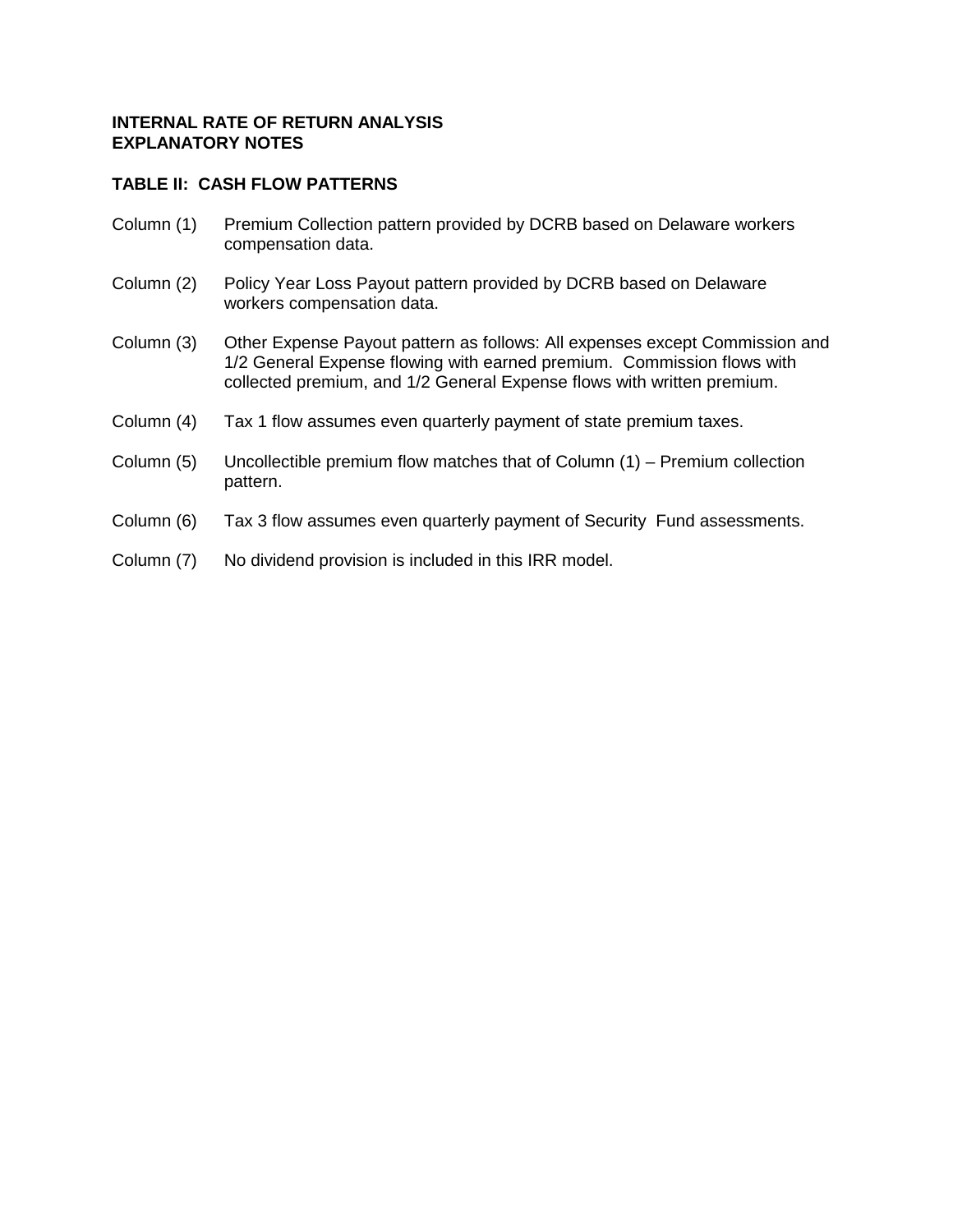## **TABLE II: CASH FLOW PATTERNS**

- Column (1) Premium Collection pattern provided by DCRB based on Delaware workers compensation data.
- Column (2) Policy Year Loss Payout pattern provided by DCRB based on Delaware workers compensation data.
- Column (3) Other Expense Payout pattern as follows: All expenses except Commission and 1/2 General Expense flowing with earned premium. Commission flows with collected premium, and 1/2 General Expense flows with written premium.
- Column (4) Tax 1 flow assumes even quarterly payment of state premium taxes.
- Column (5) Uncollectible premium flow matches that of Column (1) Premium collection pattern.
- Column (6) Tax 3 flow assumes even quarterly payment of Security Fund assessments.
- Column (7) No dividend provision is included in this IRR model.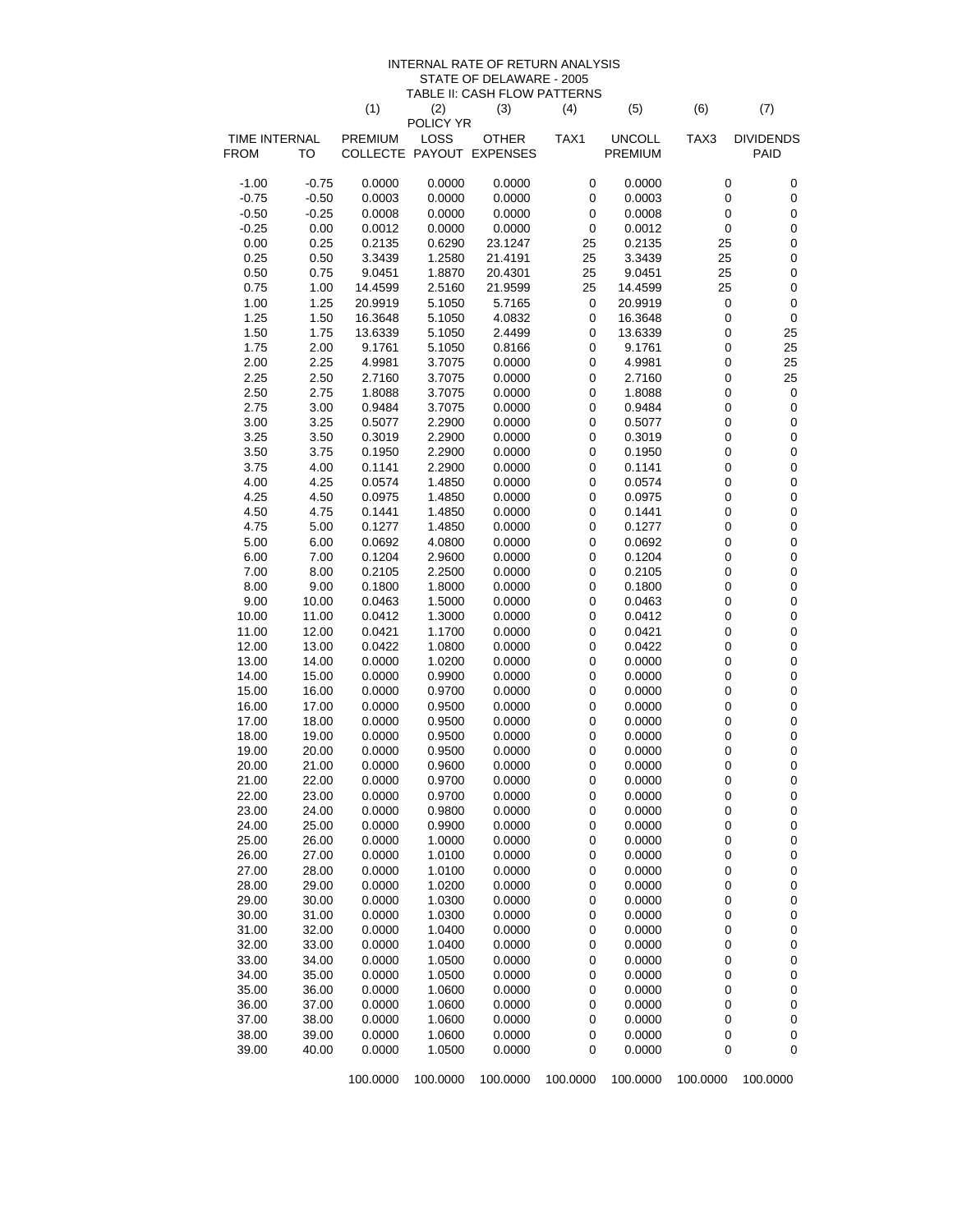#### INTERNAL RATE OF RETURN ANALYSIS STATE OF DELAWARE - 2005 TABLE II: CASH FLOW PATTERNS

|                    |                    | (1)              | (2)               | (3)                      | (4)                    | (5)              | (6)                        | (7)                      |
|--------------------|--------------------|------------------|-------------------|--------------------------|------------------------|------------------|----------------------------|--------------------------|
| TIME INTERNAL      |                    | <b>PREMIUM</b>   | POLICY YR<br>LOSS | <b>OTHER</b>             | TAX1                   | <b>UNCOLL</b>    | TAX3                       | <b>DIVIDENDS</b>         |
| FROM               | <b>TO</b>          |                  |                   | COLLECTE PAYOUT EXPENSES |                        | <b>PREMIUM</b>   |                            | PAID                     |
|                    |                    |                  |                   |                          |                        |                  |                            |                          |
| $-1.00$            | $-0.75$            | 0.0000           | 0.0000            | 0.0000                   | $\pmb{0}$              | 0.0000           | $\pmb{0}$                  | 0                        |
| $-0.75$<br>$-0.50$ | $-0.50$<br>$-0.25$ | 0.0003<br>0.0008 | 0.0000<br>0.0000  | 0.0000<br>0.0000         | 0<br>0                 | 0.0003<br>0.0008 | $\pmb{0}$<br>0             | $\pmb{0}$<br>$\pmb{0}$   |
| $-0.25$            | 0.00               | 0.0012           | 0.0000            | 0.0000                   | $\pmb{0}$              | 0.0012           | $\pmb{0}$                  | $\pmb{0}$                |
| 0.00               | 0.25               | 0.2135           | 0.6290            | 23.1247                  | 25                     | 0.2135           | 25                         | $\pmb{0}$                |
| 0.25               | 0.50               | 3.3439           | 1.2580            | 21.4191                  | 25                     | 3.3439           | 25                         | $\mathbf 0$              |
| 0.50               | 0.75               | 9.0451           | 1.8870            | 20.4301                  | 25                     | 9.0451           | 25                         | $\pmb{0}$                |
| 0.75               | 1.00               | 14.4599          | 2.5160            | 21.9599                  | 25                     | 14.4599          | 25                         | $\pmb{0}$                |
| 1.00               | 1.25               | 20.9919          | 5.1050            | 5.7165                   | $\pmb{0}$              | 20.9919          | $\pmb{0}$                  | $\pmb{0}$                |
| 1.25               | 1.50               | 16.3648          | 5.1050            | 4.0832                   | 0                      | 16.3648          | $\pmb{0}$                  | $\pmb{0}$                |
| 1.50               | 1.75               | 13.6339          | 5.1050            | 2.4499                   | 0                      | 13.6339          | $\mathbf 0$                | 25                       |
| 1.75               | 2.00               | 9.1761           | 5.1050            | 0.8166                   | $\pmb{0}$              | 9.1761           | $\mathbf 0$                | 25                       |
| 2.00               | 2.25               | 4.9981           | 3.7075            | 0.0000                   | $\pmb{0}$              | 4.9981           | $\pmb{0}$                  | 25                       |
| 2.25               | 2.50               | 2.7160           | 3.7075            | 0.0000                   | 0                      | 2.7160           | $\mathbf 0$                | 25                       |
| 2.50               | 2.75               | 1.8088           | 3.7075            | 0.0000                   | 0                      | 1.8088           | 0                          | 0                        |
| 2.75               | 3.00               | 0.9484           | 3.7075            | 0.0000                   | 0                      | 0.9484           | $\mathbf 0$                | $\pmb{0}$                |
| 3.00               | 3.25               | 0.5077           | 2.2900            | 0.0000                   | $\pmb{0}$              | 0.5077           | $\mathbf 0$                | $\pmb{0}$                |
| 3.25               | 3.50               | 0.3019           | 2.2900            | 0.0000                   | $\pmb{0}$              | 0.3019           | $\pmb{0}$                  | $\pmb{0}$                |
| 3.50               | 3.75               | 0.1950           | 2.2900            | 0.0000                   | 0                      | 0.1950           | $\mathbf 0$                | $\mathbf 0$              |
| 3.75               | 4.00               | 0.1141           | 2.2900            | 0.0000                   | 0                      | 0.1141           | $\mathbf 0$                | $\pmb{0}$                |
| 4.00               | 4.25               | 0.0574           | 1.4850            | 0.0000                   | 0                      | 0.0574           | $\mathbf 0$                | $\mathbf 0$              |
| 4.25<br>4.50       | 4.50<br>4.75       | 0.0975<br>0.1441 | 1.4850<br>1.4850  | 0.0000<br>0.0000         | $\pmb{0}$<br>$\pmb{0}$ | 0.0975<br>0.1441 | $\mathbf 0$<br>$\mathbf 0$ | $\mathbf 0$<br>$\pmb{0}$ |
| 4.75               | 5.00               | 0.1277           | 1.4850            | 0.0000                   | 0                      | 0.1277           | $\mathbf 0$                | $\mathbf 0$              |
| 5.00               | 6.00               | 0.0692           | 4.0800            | 0.0000                   | 0                      | 0.0692           | $\mathbf 0$                | $\pmb{0}$                |
| 6.00               | 7.00               | 0.1204           | 2.9600            | 0.0000                   | 0                      | 0.1204           | $\mathbf 0$                | $\mathbf 0$              |
| 7.00               | 8.00               | 0.2105           | 2.2500            | 0.0000                   | $\pmb{0}$              | 0.2105           | $\mathbf 0$                | $\mathbf 0$              |
| 8.00               | 9.00               | 0.1800           | 1.8000            | 0.0000                   | $\pmb{0}$              | 0.1800           | $\mathbf 0$                | $\pmb{0}$                |
| 9.00               | 10.00              | 0.0463           | 1.5000            | 0.0000                   | 0                      | 0.0463           | $\mathbf 0$                | $\mathbf 0$              |
| 10.00              | 11.00              | 0.0412           | 1.3000            | 0.0000                   | 0                      | 0.0412           | $\mathbf 0$                | $\pmb{0}$                |
| 11.00              | 12.00              | 0.0421           | 1.1700            | 0.0000                   | 0                      | 0.0421           | $\mathbf 0$                | $\mathbf 0$              |
| 12.00              | 13.00              | 0.0422           | 1.0800            | 0.0000                   | $\pmb{0}$              | 0.0422           | $\mathbf 0$                | $\mathbf 0$              |
| 13.00              | 14.00              | 0.0000           | 1.0200            | 0.0000                   | $\pmb{0}$              | 0.0000           | $\mathbf 0$                | $\pmb{0}$                |
| 14.00              | 15.00              | 0.0000           | 0.9900            | 0.0000                   | 0                      | 0.0000           | $\mathbf 0$                | $\mathbf 0$              |
| 15.00              | 16.00              | 0.0000           | 0.9700            | 0.0000                   | 0                      | 0.0000           | $\mathbf 0$                | $\pmb{0}$                |
| 16.00              | 17.00              | 0.0000           | 0.9500            | 0.0000                   | 0                      | 0.0000           | $\mathbf 0$                | $\mathbf 0$              |
| 17.00              | 18.00              | 0.0000           | 0.9500            | 0.0000                   | $\pmb{0}$              | 0.0000           | $\mathbf 0$                | $\mathbf 0$              |
| 18.00              | 19.00              | 0.0000           | 0.9500            | 0.0000                   | $\pmb{0}$              | 0.0000           | $\pmb{0}$                  | $\pmb{0}$                |
| 19.00<br>20.00     | 20.00<br>21.00     | 0.0000           | 0.9500<br>0.9600  | 0.0000                   | 0<br>0                 | 0.0000           | $\mathbf 0$<br>$\mathbf 0$ | $\pmb{0}$<br>$\pmb{0}$   |
| 21.00              | 22.00              | 0.0000<br>0.0000 | 0.9700            | 0.0000<br>0.0000         | 0                      | 0.0000<br>0.0000 | $\mathbf 0$                | $\pmb{0}$                |
| 22.00              | 23.00              | 0.0000           | 0.9700            | 0.0000                   | 0                      | 0.0000           | 0                          | 0                        |
| 23.00              | 24.00              | 0.0000           | 0.9800            | 0.0000                   | 0                      | 0.0000           | 0                          | 0                        |
| 24.00              | 25.00              | 0.0000           | 0.9900            | 0.0000                   | 0                      | 0.0000           | 0                          | 0                        |
| 25.00              | 26.00              | 0.0000           | 1.0000            | 0.0000                   | 0                      | 0.0000           | $\boldsymbol{0}$           | 0                        |
| 26.00              | 27.00              | 0.0000           | 1.0100            | 0.0000                   | 0                      | 0.0000           | 0                          | $\pmb{0}$                |
| 27.00              | 28.00              | 0.0000           | 1.0100            | 0.0000                   | $\pmb{0}$              | 0.0000           | 0                          | $\pmb{0}$                |
| 28.00              | 29.00              | 0.0000           | 1.0200            | 0.0000                   | 0                      | 0.0000           | $\pmb{0}$                  | 0                        |
| 29.00              | 30.00              | 0.0000           | 1.0300            | 0.0000                   | 0                      | 0.0000           | 0                          | 0                        |
| 30.00              | 31.00              | 0.0000           | 1.0300            | 0.0000                   | 0                      | 0.0000           | 0                          | 0                        |
| 31.00              | 32.00              | 0.0000           | 1.0400            | 0.0000                   | 0                      | 0.0000           | 0                          | $\pmb{0}$                |
| 32.00              | 33.00              | 0.0000           | 1.0400            | 0.0000                   | $\pmb{0}$              | 0.0000           | 0                          | $\pmb{0}$                |
| 33.00              | 34.00              | 0.0000           | 1.0500            | 0.0000                   | 0                      | 0.0000           | $\pmb{0}$                  | 0                        |
| 34.00              | 35.00              | 0.0000           | 1.0500            | 0.0000                   | $\pmb{0}$              | 0.0000           | 0                          | 0                        |
| 35.00              | 36.00              | 0.0000           | 1.0600            | 0.0000                   | 0                      | 0.0000           | 0                          | 0                        |
| 36.00              | 37.00              | 0.0000           | 1.0600            | 0.0000                   | 0                      | 0.0000           | 0                          | $\pmb{0}$                |
| 37.00              | 38.00              | 0.0000           | 1.0600            | 0.0000                   | 0                      | 0.0000           | 0                          | $\pmb{0}$                |
| 38.00              | 39.00<br>40.00     | 0.0000<br>0.0000 | 1.0600<br>1.0500  | 0.0000                   | 0<br>0                 | 0.0000<br>0.0000 | 0<br>0                     | 0<br>0                   |
| 39.00              |                    |                  |                   | 0.0000                   |                        |                  |                            |                          |
|                    |                    | 100.0000         | 100.0000          | 100.0000                 | 100.0000               | 100.0000         | 100.0000                   | 100.0000                 |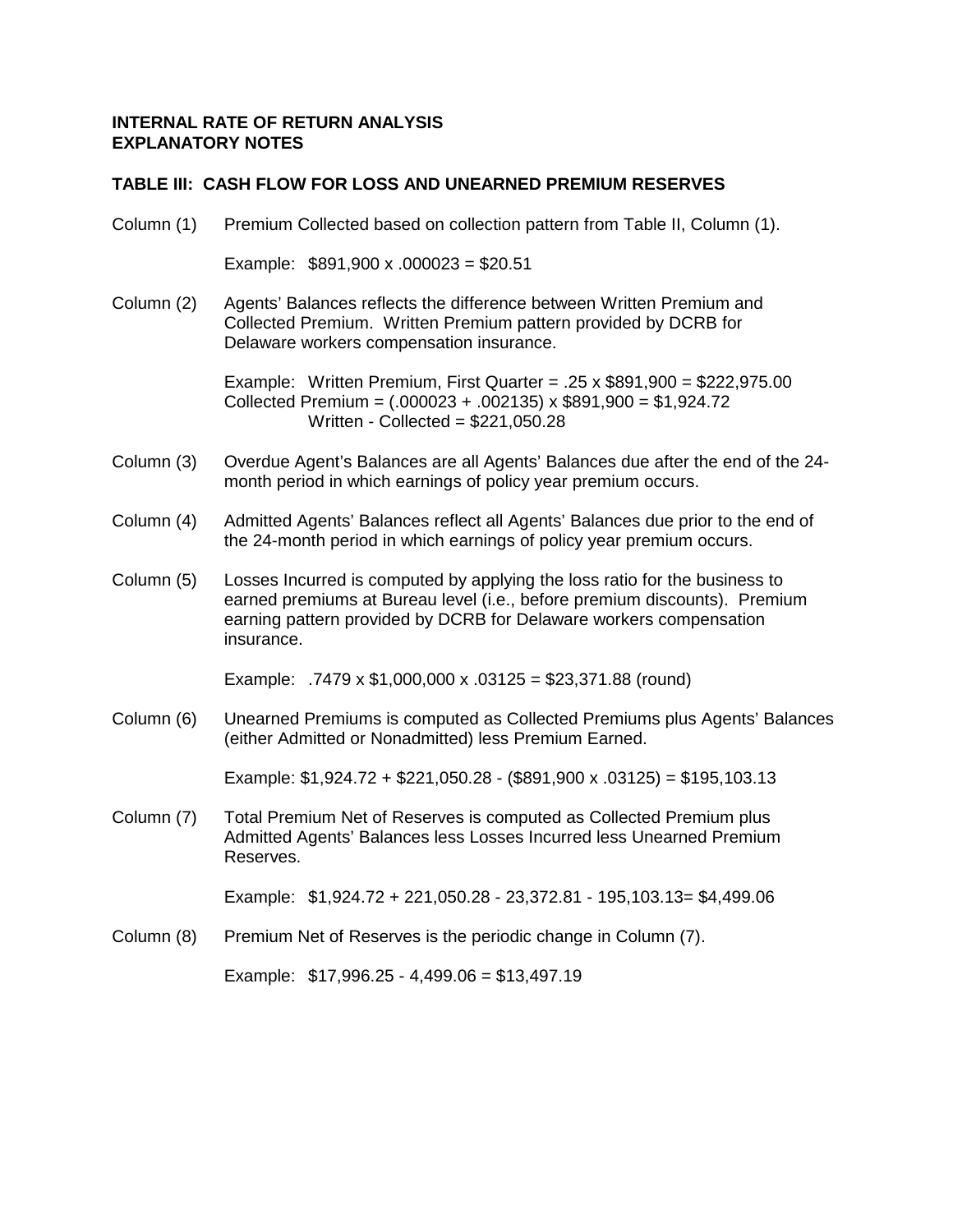### **TABLE III: CASH FLOW FOR LOSS AND UNEARNED PREMIUM RESERVES**

Column (1) Premium Collected based on collection pattern from Table II, Column (1).

Example: \$891,900 x .000023 = \$20.51

Column (2) Agents' Balances reflects the difference between Written Premium and Collected Premium. Written Premium pattern provided by DCRB for Delaware workers compensation insurance.

> Example: Written Premium, First Quarter = .25  $\times$  \$891,900 = \$222,975.00 Collected Premium =  $(.000023 + .002135) \times $891,900 = $1,924.72$ Written - Collected = \$221,050.28

- Column (3) Overdue Agent's Balances are all Agents' Balances due after the end of the 24 month period in which earnings of policy year premium occurs.
- Column (4) Admitted Agents' Balances reflect all Agents' Balances due prior to the end of the 24-month period in which earnings of policy year premium occurs.
- Column (5) Losses Incurred is computed by applying the loss ratio for the business to earned premiums at Bureau level (i.e., before premium discounts). Premium earning pattern provided by DCRB for Delaware workers compensation insurance.

Example: .7479 x \$1,000,000 x .03125 = \$23,371.88 (round)

Column (6) Unearned Premiums is computed as Collected Premiums plus Agents' Balances (either Admitted or Nonadmitted) less Premium Earned.

Example: \$1,924.72 + \$221,050.28 - (\$891,900 x .03125) = \$195,103.13

Column (7) Total Premium Net of Reserves is computed as Collected Premium plus Admitted Agents' Balances less Losses Incurred less Unearned Premium Reserves.

Example: \$1,924.72 + 221,050.28 - 23,372.81 - 195,103.13= \$4,499.06

Column (8) Premium Net of Reserves is the periodic change in Column (7).

Example: \$17,996.25 - 4,499.06 = \$13,497.19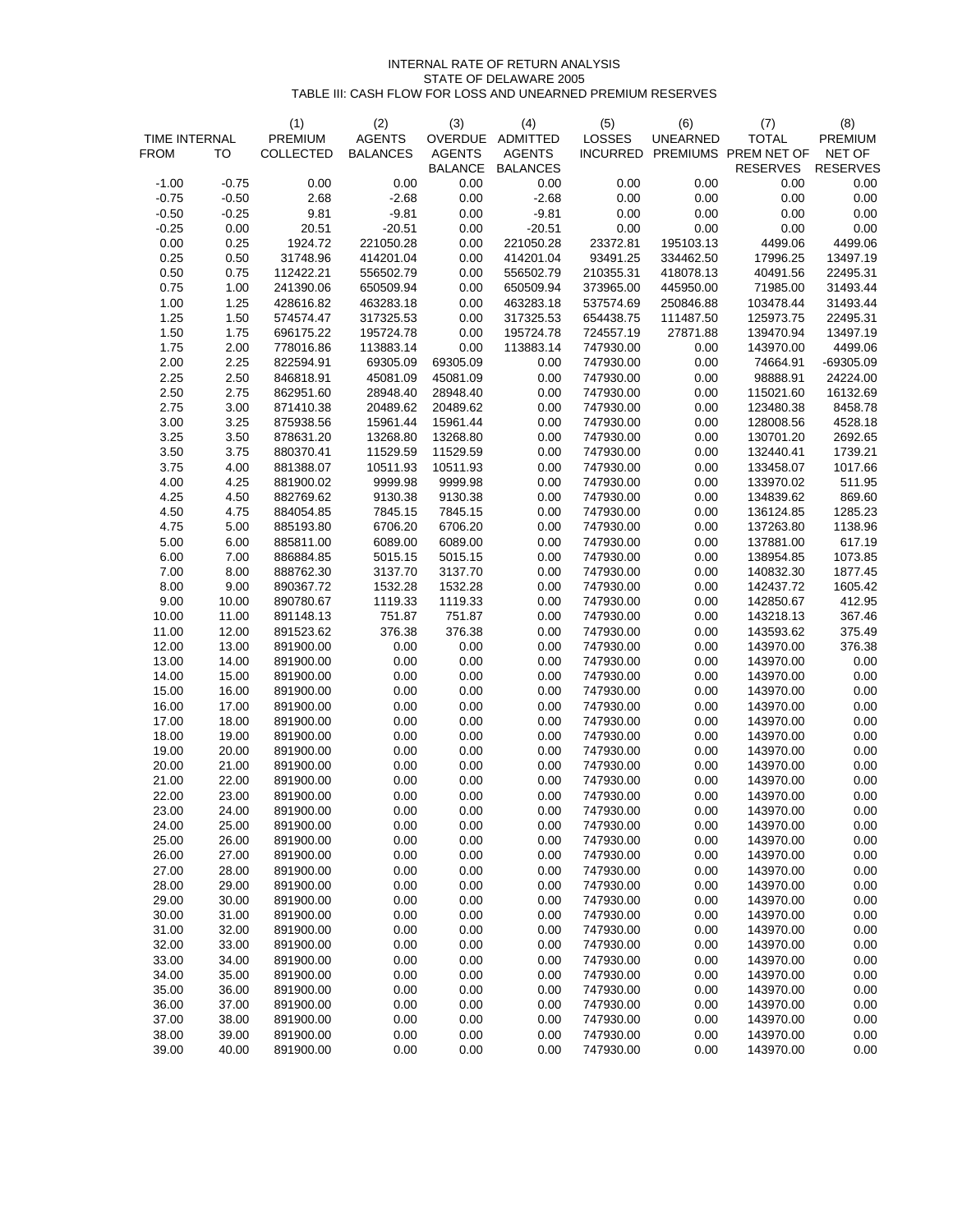#### INTERNAL RATE OF RETURN ANALYSIS STATE OF DELAWARE 2005 TABLE III: CASH FLOW FOR LOSS AND UNEARNED PREMIUM RESERVES

| <b>TIME INTERNAL</b> |                | (1)<br>PREMIUM         | (2)<br><b>AGENTS</b> | (3)<br>OVERDUE | (4)<br>ADMITTED | (5)<br>LOSSES          | (6)<br><b>UNEARNED</b> | (7)<br><b>TOTAL</b>    | (8)<br><b>PREMIUM</b> |
|----------------------|----------------|------------------------|----------------------|----------------|-----------------|------------------------|------------------------|------------------------|-----------------------|
| <b>FROM</b>          | то             | COLLECTED              | <b>BALANCES</b>      | <b>AGENTS</b>  | <b>AGENTS</b>   | <b>INCURRED</b>        |                        | PREMIUMS PREM NET OF   | NET OF                |
|                      |                |                        |                      | <b>BALANCE</b> | <b>BALANCES</b> |                        |                        | <b>RESERVES</b>        | <b>RESERVES</b>       |
| $-1.00$              | $-0.75$        | 0.00                   | 0.00                 | 0.00           | 0.00            | 0.00                   | 0.00                   | 0.00                   | 0.00                  |
| $-0.75$              | $-0.50$        | 2.68                   | $-2.68$              | 0.00           | $-2.68$         | 0.00                   | 0.00                   | 0.00                   | 0.00                  |
| $-0.50$              | $-0.25$        | 9.81                   | $-9.81$              | 0.00           | $-9.81$         | 0.00                   | 0.00                   | 0.00                   | 0.00                  |
| $-0.25$              | 0.00           | 20.51                  | $-20.51$             | 0.00           | $-20.51$        | 0.00                   | 0.00                   | 0.00                   | 0.00                  |
| 0.00                 | 0.25           | 1924.72                | 221050.28            | 0.00           | 221050.28       | 23372.81               | 195103.13              | 4499.06                | 4499.06               |
| 0.25                 | 0.50           | 31748.96               | 414201.04            | 0.00           | 414201.04       | 93491.25               | 334462.50              | 17996.25               | 13497.19              |
| 0.50                 | 0.75           | 112422.21              | 556502.79            | 0.00           | 556502.79       | 210355.31              | 418078.13              | 40491.56               | 22495.31              |
| 0.75                 | 1.00           | 241390.06              | 650509.94            | 0.00           | 650509.94       | 373965.00              | 445950.00              | 71985.00               | 31493.44              |
| 1.00                 | 1.25           | 428616.82              | 463283.18            | 0.00           | 463283.18       | 537574.69              | 250846.88              | 103478.44              | 31493.44              |
| 1.25                 | 1.50           | 574574.47              | 317325.53            | 0.00           | 317325.53       | 654438.75              | 111487.50              | 125973.75              | 22495.31              |
| 1.50                 | 1.75           | 696175.22              | 195724.78            | 0.00           | 195724.78       | 724557.19              | 27871.88               | 139470.94              | 13497.19              |
| 1.75                 | 2.00           | 778016.86              | 113883.14            | 0.00           | 113883.14       | 747930.00              | 0.00                   | 143970.00              | 4499.06               |
| 2.00                 | 2.25           | 822594.91              | 69305.09             | 69305.09       | 0.00            | 747930.00              | 0.00                   | 74664.91               | $-69305.09$           |
| 2.25                 | 2.50           | 846818.91              | 45081.09             | 45081.09       | 0.00            | 747930.00              | 0.00                   | 98888.91               | 24224.00              |
| 2.50                 | 2.75           | 862951.60              | 28948.40             | 28948.40       | 0.00            | 747930.00              | 0.00                   | 115021.60              | 16132.69              |
| 2.75                 | 3.00           | 871410.38              | 20489.62             | 20489.62       | 0.00            | 747930.00              | 0.00                   | 123480.38              | 8458.78               |
| 3.00                 | 3.25           | 875938.56              | 15961.44             | 15961.44       | 0.00            | 747930.00              | 0.00                   | 128008.56              | 4528.18               |
| 3.25                 | 3.50           | 878631.20              | 13268.80             | 13268.80       | 0.00            | 747930.00              | 0.00                   | 130701.20              | 2692.65               |
| 3.50                 | 3.75           | 880370.41              | 11529.59             | 11529.59       | 0.00            | 747930.00              | 0.00                   | 132440.41              | 1739.21               |
| 3.75                 | 4.00           | 881388.07              | 10511.93             | 10511.93       | 0.00            | 747930.00              | 0.00                   | 133458.07              | 1017.66               |
| 4.00                 | 4.25           | 881900.02              | 9999.98              | 9999.98        | 0.00            | 747930.00              | 0.00                   | 133970.02              | 511.95                |
| 4.25                 | 4.50           | 882769.62              | 9130.38              | 9130.38        | 0.00            | 747930.00              | 0.00                   | 134839.62              | 869.60                |
| 4.50                 | 4.75           | 884054.85              | 7845.15              | 7845.15        | 0.00            | 747930.00              | 0.00                   | 136124.85              | 1285.23               |
| 4.75                 | 5.00           | 885193.80              | 6706.20              | 6706.20        | 0.00            | 747930.00              | 0.00                   | 137263.80              | 1138.96               |
| 5.00                 | 6.00           | 885811.00              | 6089.00              | 6089.00        | 0.00            | 747930.00              | 0.00                   | 137881.00              | 617.19                |
| 6.00                 | 7.00           | 886884.85              | 5015.15              | 5015.15        | 0.00            | 747930.00              | 0.00                   | 138954.85              | 1073.85               |
| 7.00                 | 8.00           | 888762.30              | 3137.70              | 3137.70        | 0.00            | 747930.00              | 0.00                   | 140832.30              | 1877.45               |
| 8.00                 | 9.00           | 890367.72              | 1532.28              | 1532.28        | 0.00            | 747930.00              | 0.00                   | 142437.72              | 1605.42               |
| 9.00                 | 10.00          | 890780.67              | 1119.33              | 1119.33        | 0.00            |                        | 0.00                   |                        | 412.95                |
| 10.00                | 11.00          | 891148.13              | 751.87               | 751.87         | 0.00            | 747930.00<br>747930.00 | 0.00                   | 142850.67<br>143218.13 | 367.46                |
| 11.00                | 12.00          | 891523.62              | 376.38               | 376.38         | 0.00            | 747930.00              | 0.00                   | 143593.62              | 375.49                |
| 12.00                | 13.00          | 891900.00              | 0.00                 | 0.00           | 0.00            | 747930.00              | 0.00                   | 143970.00              | 376.38                |
| 13.00                | 14.00          | 891900.00              | 0.00                 | 0.00           | 0.00            | 747930.00              | 0.00                   | 143970.00              | 0.00                  |
| 14.00                | 15.00          | 891900.00              | 0.00                 | 0.00           | 0.00            | 747930.00              | 0.00                   | 143970.00              | 0.00                  |
| 15.00                | 16.00          | 891900.00              | 0.00                 | 0.00           | 0.00            | 747930.00              | 0.00                   | 143970.00              | 0.00                  |
| 16.00                | 17.00          | 891900.00              | 0.00                 | 0.00           | 0.00            | 747930.00              | 0.00                   | 143970.00              | 0.00                  |
| 17.00                | 18.00          | 891900.00              | 0.00                 | 0.00           | 0.00            | 747930.00              | 0.00                   | 143970.00              | 0.00                  |
| 18.00                | 19.00          | 891900.00              | 0.00                 | 0.00           | 0.00            | 747930.00              | 0.00                   | 143970.00              | 0.00                  |
| 19.00                | 20.00          | 891900.00              | 0.00                 | 0.00           | 0.00            | 747930.00              | 0.00                   | 143970.00              | 0.00                  |
| 20.00                | 21.00          | 891900.00              | 0.00                 | 0.00           | 0.00            | 747930.00              | 0.00                   | 143970.00              | 0.00                  |
| 21.00                | 22.00          | 891900.00              | 0.00                 | 0.00           | 0.00            | 747930.00              | 0.00                   | 143970.00              | 0.00                  |
| 22.00                | 23.00          | 891900.00              | 0.00                 | 0.00           | 0.00            | 747930.00              | 0.00                   | 143970.00              | 0.00                  |
| 23.00                | 24.00          | 891900.00              | 0.00                 | 0.00           | 0.00            | 747930.00              | 0.00                   | 143970.00              | 0.00                  |
|                      |                |                        |                      | 0.00           |                 |                        | 0.00                   | 143970.00              | 0.00                  |
| 24.00<br>25.00       | 25.00<br>26.00 | 891900.00<br>891900.00 | 0.00<br>0.00         | 0.00           | 0.00<br>0.00    | 747930.00<br>747930.00 | 0.00                   | 143970.00              | 0.00                  |
| 26.00                | 27.00          | 891900.00              | 0.00                 | 0.00           | 0.00            | 747930.00              | 0.00                   | 143970.00              | 0.00                  |
| 27.00                |                | 891900.00              | 0.00                 | 0.00           | 0.00            |                        | 0.00                   |                        | 0.00                  |
| 28.00                | 28.00<br>29.00 | 891900.00              | 0.00                 | 0.00           | 0.00            | 747930.00<br>747930.00 | 0.00                   | 143970.00<br>143970.00 | 0.00                  |
| 29.00                |                |                        | 0.00                 | 0.00           | 0.00            | 747930.00              | 0.00                   |                        | 0.00                  |
| 30.00                | 30.00<br>31.00 | 891900.00<br>891900.00 | 0.00                 | 0.00           | 0.00            | 747930.00              | 0.00                   | 143970.00<br>143970.00 | 0.00                  |
| 31.00                | 32.00          | 891900.00              | 0.00                 | 0.00           | 0.00            | 747930.00              | 0.00                   | 143970.00              | 0.00                  |
| 32.00                | 33.00          | 891900.00              | 0.00                 | 0.00           | 0.00            |                        | 0.00                   |                        | 0.00                  |
| 33.00                |                |                        | 0.00                 | 0.00           | 0.00            | 747930.00<br>747930.00 | 0.00                   | 143970.00<br>143970.00 | 0.00                  |
| 34.00                | 34.00          | 891900.00              |                      | 0.00           | 0.00            |                        | 0.00                   |                        | 0.00                  |
| 35.00                | 35.00<br>36.00 | 891900.00<br>891900.00 | 0.00<br>0.00         | 0.00           | 0.00            | 747930.00<br>747930.00 | 0.00                   | 143970.00<br>143970.00 | 0.00                  |
| 36.00                | 37.00          | 891900.00              | 0.00                 | 0.00           | 0.00            | 747930.00              | 0.00                   | 143970.00              | 0.00                  |
| 37.00                | 38.00          | 891900.00              | 0.00                 | 0.00           | 0.00            | 747930.00              | 0.00                   | 143970.00              | 0.00                  |
| 38.00                | 39.00          | 891900.00              | 0.00                 | 0.00           | 0.00            | 747930.00              | 0.00                   | 143970.00              | 0.00                  |
| 39.00                | 40.00          | 891900.00              | 0.00                 | 0.00           | 0.00            | 747930.00              | 0.00                   | 143970.00              | 0.00                  |
|                      |                |                        |                      |                |                 |                        |                        |                        |                       |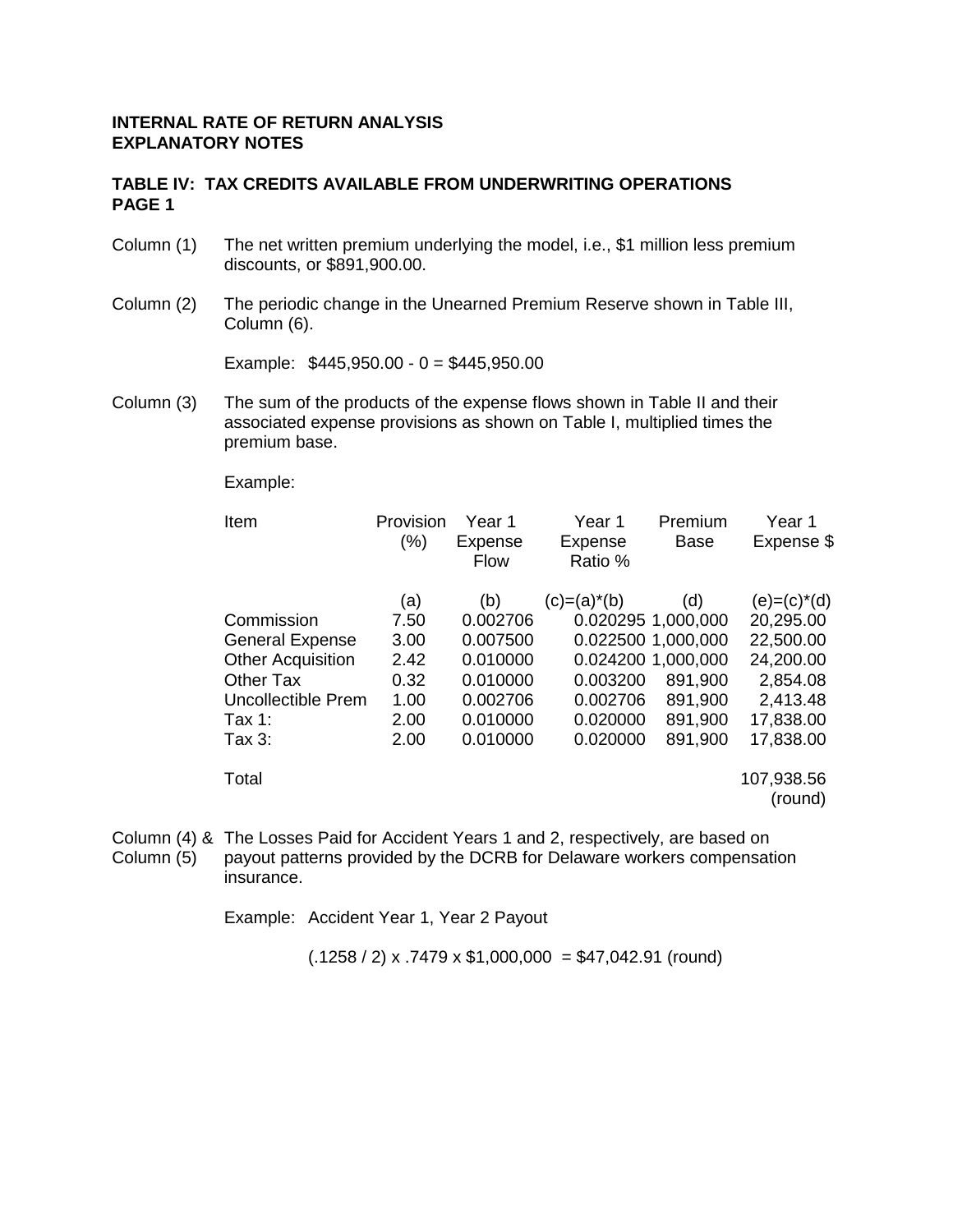### **TABLE IV: TAX CREDITS AVAILABLE FROM UNDERWRITING OPERATIONS PAGE 1**

- Column (1) The net written premium underlying the model, i.e., \$1 million less premium discounts, or \$891,900.00.
- Column (2) The periodic change in the Unearned Premium Reserve shown in Table III, Column (6).

Example:  $$445,950.00 - 0 = $445,950.00$ 

Column (3) The sum of the products of the expense flows shown in Table II and their associated expense provisions as shown on Table I, multiplied times the premium base.

Example:

| Item                     | Provision<br>(%) | Year 1<br>Expense<br><b>Flow</b> | Year 1<br>Expense<br>Ratio % | Premium<br>Base    | Year <sub>1</sub><br>Expense \$ |
|--------------------------|------------------|----------------------------------|------------------------------|--------------------|---------------------------------|
|                          | (a)              | (b)                              | $(c)=(a)^*(b)$               | (d)                | $(e) = (c)^*(d)$                |
| Commission               | 7.50             | 0.002706                         |                              | 0.020295 1,000,000 | 20,295.00                       |
| <b>General Expense</b>   | 3.00             | 0.007500                         |                              | 0.022500 1.000,000 | 22,500.00                       |
| <b>Other Acquisition</b> | 2.42             | 0.010000                         |                              | 0.024200 1.000,000 | 24,200.00                       |
| <b>Other Tax</b>         | 0.32             | 0.010000                         | 0.003200                     | 891,900            | 2,854.08                        |
| Uncollectible Prem       | 1.00             | 0.002706                         | 0.002706                     | 891,900            | 2,413.48                        |
| Tax 1:                   | 2.00             | 0.010000                         | 0.020000                     | 891,900            | 17,838.00                       |
| Tax 3:                   | 2.00             | 0.010000                         | 0.020000                     | 891,900            | 17,838.00                       |
| Total                    |                  |                                  |                              |                    | 107,938.56<br>(round)           |

Column (4) & The Losses Paid for Accident Years 1 and 2, respectively, are based on Column (5) payout patterns provided by the DCRB for Delaware workers compensation insurance.

Example: Accident Year 1, Year 2 Payout

 $(.1258 / 2)$  x .7479 x \$1,000,000 = \$47,042.91 (round)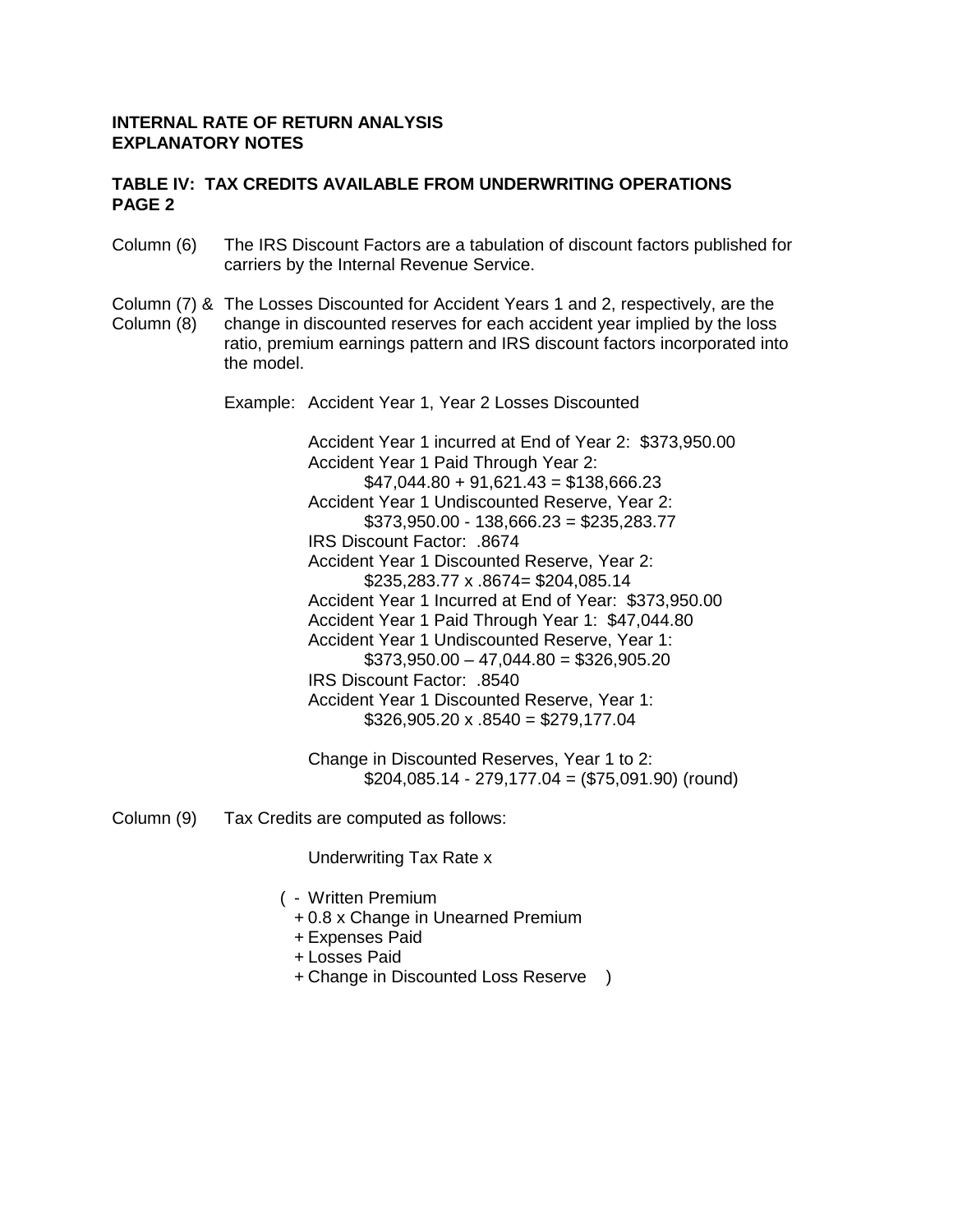### **TABLE IV: TAX CREDITS AVAILABLE FROM UNDERWRITING OPERATIONS PAGE 2**

- Column (6) The IRS Discount Factors are a tabulation of discount factors published for carriers by the Internal Revenue Service.
- Column (7) & The Losses Discounted for Accident Years 1 and 2, respectively, are the
- Column (8) change in discounted reserves for each accident year implied by the loss ratio, premium earnings pattern and IRS discount factors incorporated into the model.

Example: Accident Year 1, Year 2 Losses Discounted

 Accident Year 1 incurred at End of Year 2: \$373,950.00 Accident Year 1 Paid Through Year 2:  $$47,044.80 + 91,621.43 = $138,666.23$  Accident Year 1 Undiscounted Reserve, Year 2: \$373,950.00 - 138,666.23 = \$235,283.77 IRS Discount Factor: .8674 Accident Year 1 Discounted Reserve, Year 2: \$235,283.77 x .8674= \$204,085.14 Accident Year 1 Incurred at End of Year: \$373,950.00 Accident Year 1 Paid Through Year 1: \$47,044.80 Accident Year 1 Undiscounted Reserve, Year 1:  $$373,950.00 - 47,044.80 = $326,905.20$  IRS Discount Factor: .8540 Accident Year 1 Discounted Reserve, Year 1:  $$326,905.20 \times .8540 = $279,177.04$ 

 Change in Discounted Reserves, Year 1 to 2: \$204,085.14 - 279,177.04 = (\$75,091.90) (round)

Column (9) Tax Credits are computed as follows:

Underwriting Tax Rate x

- ( Written Premium
	- + 0.8 x Change in Unearned Premium
	- + Expenses Paid
	- + Losses Paid
	- + Change in Discounted Loss Reserve )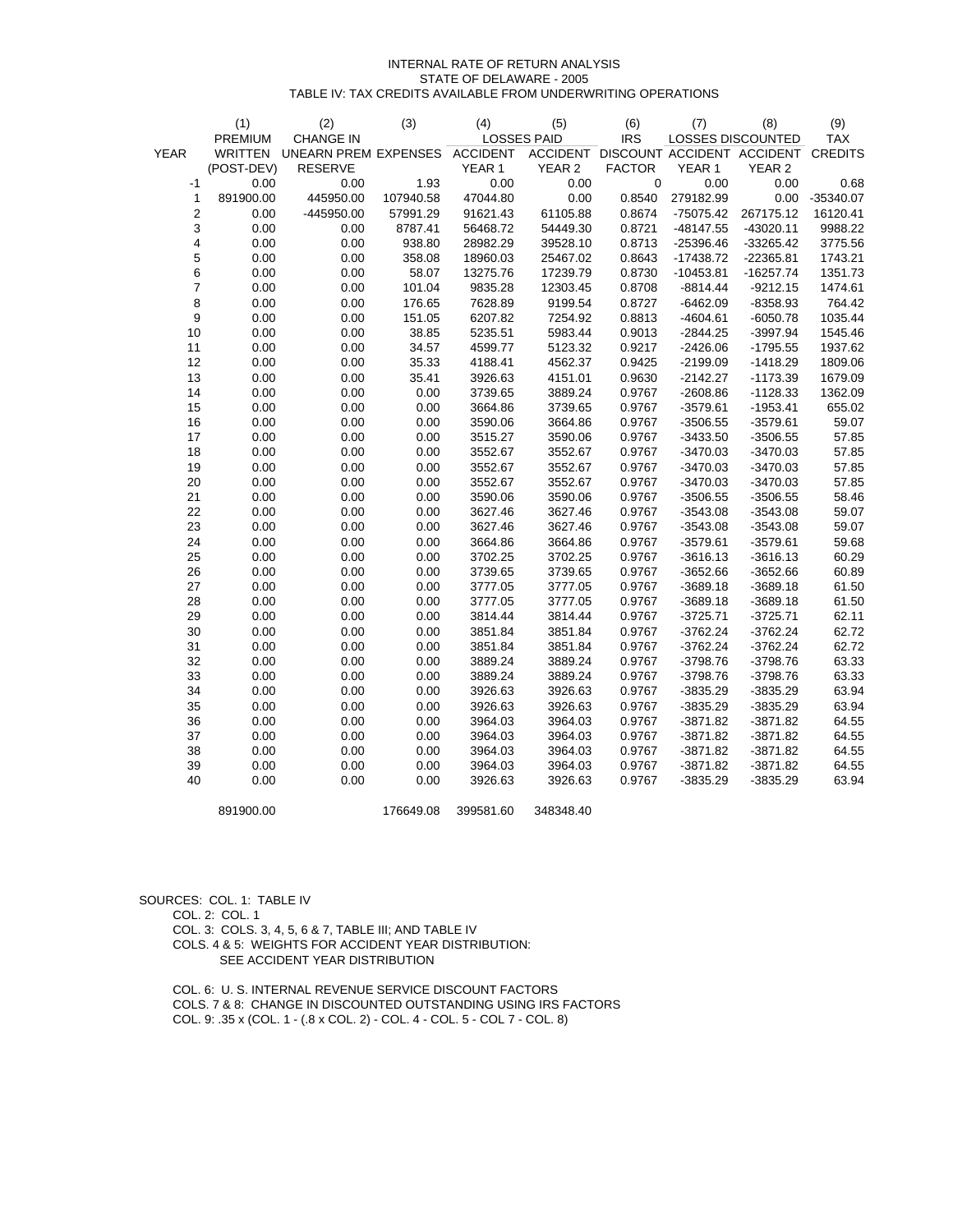#### INTERNAL RATE OF RETURN ANALYSIS STATE OF DELAWARE - 2005 TABLE IV: TAX CREDITS AVAILABLE FROM UNDERWRITING OPERATIONS

|                  | (1)            | (2)                         | (3)       | (4)             | (5)                | (6)           | (7)         | (8)                                         | (9)        |
|------------------|----------------|-----------------------------|-----------|-----------------|--------------------|---------------|-------------|---------------------------------------------|------------|
|                  | PREMIUM        | <b>CHANGE IN</b>            |           |                 | <b>LOSSES PAID</b> | <b>IRS</b>    |             | LOSSES DISCOUNTED                           | <b>TAX</b> |
| <b>YEAR</b>      | <b>WRITTEN</b> | <b>UNEARN PREM EXPENSES</b> |           | <b>ACCIDENT</b> |                    |               |             | ACCIDENT DISCOUNT ACCIDENT ACCIDENT CREDITS |            |
|                  | (POST-DEV)     | <b>RESERVE</b>              |           | YEAR 1          | YEAR <sub>2</sub>  | <b>FACTOR</b> | YEAR 1      | YEAR <sub>2</sub>                           |            |
| $-1$             | 0.00           | 0.00                        | 1.93      | 0.00            | 0.00               | $\mathbf 0$   | 0.00        | 0.00                                        | 0.68       |
| 1                | 891900.00      | 445950.00                   | 107940.58 | 47044.80        | 0.00               | 0.8540        | 279182.99   | 0.00                                        | -35340.07  |
| $\boldsymbol{2}$ | 0.00           | -445950.00                  | 57991.29  | 91621.43        | 61105.88           | 0.8674        | $-75075.42$ | 267175.12                                   | 16120.41   |
| 3                | 0.00           | 0.00                        | 8787.41   | 56468.72        | 54449.30           | 0.8721        | -48147.55   | $-43020.11$                                 | 9988.22    |
| 4                | 0.00           | 0.00                        | 938.80    | 28982.29        | 39528.10           | 0.8713        | $-25396.46$ | $-33265.42$                                 | 3775.56    |
| 5                | 0.00           | 0.00                        | 358.08    | 18960.03        | 25467.02           | 0.8643        | -17438.72   | $-22365.81$                                 | 1743.21    |
| 6                | 0.00           | 0.00                        | 58.07     | 13275.76        | 17239.79           | 0.8730        | $-10453.81$ | $-16257.74$                                 | 1351.73    |
| $\overline{7}$   | 0.00           | 0.00                        | 101.04    | 9835.28         | 12303.45           | 0.8708        | $-8814.44$  | $-9212.15$                                  | 1474.61    |
| 8                | 0.00           | 0.00                        | 176.65    | 7628.89         | 9199.54            | 0.8727        | $-6462.09$  | $-8358.93$                                  | 764.42     |
| 9                | 0.00           | 0.00                        | 151.05    | 6207.82         | 7254.92            | 0.8813        | $-4604.61$  | $-6050.78$                                  | 1035.44    |
| 10               | 0.00           | 0.00                        | 38.85     | 5235.51         | 5983.44            | 0.9013        | $-2844.25$  | -3997.94                                    | 1545.46    |
| 11               | 0.00           | 0.00                        | 34.57     | 4599.77         | 5123.32            | 0.9217        | $-2426.06$  | $-1795.55$                                  | 1937.62    |
| 12               | 0.00           | 0.00                        | 35.33     | 4188.41         | 4562.37            | 0.9425        | $-2199.09$  | $-1418.29$                                  | 1809.06    |
| 13               | 0.00           | 0.00                        | 35.41     | 3926.63         | 4151.01            | 0.9630        | $-2142.27$  | $-1173.39$                                  | 1679.09    |
| 14               | 0.00           | 0.00                        | 0.00      | 3739.65         | 3889.24            | 0.9767        | $-2608.86$  | $-1128.33$                                  | 1362.09    |
| 15               | 0.00           | 0.00                        | 0.00      | 3664.86         | 3739.65            | 0.9767        | $-3579.61$  | $-1953.41$                                  | 655.02     |
| 16               | 0.00           | 0.00                        | 0.00      | 3590.06         | 3664.86            | 0.9767        | $-3506.55$  | $-3579.61$                                  | 59.07      |
| 17               | 0.00           | 0.00                        | 0.00      | 3515.27         | 3590.06            | 0.9767        | $-3433.50$  | $-3506.55$                                  | 57.85      |
| 18               | 0.00           | 0.00                        | 0.00      | 3552.67         | 3552.67            | 0.9767        | $-3470.03$  | $-3470.03$                                  | 57.85      |
| 19               | 0.00           | 0.00                        | 0.00      | 3552.67         | 3552.67            | 0.9767        | $-3470.03$  | $-3470.03$                                  | 57.85      |
| $20\,$           | 0.00           | 0.00                        | 0.00      | 3552.67         | 3552.67            | 0.9767        | $-3470.03$  | $-3470.03$                                  | 57.85      |
| 21               | 0.00           | 0.00                        | 0.00      | 3590.06         | 3590.06            | 0.9767        | $-3506.55$  | $-3506.55$                                  | 58.46      |
| 22               | 0.00           | 0.00                        | 0.00      | 3627.46         | 3627.46            | 0.9767        | $-3543.08$  | $-3543.08$                                  | 59.07      |
| 23               | 0.00           | 0.00                        | 0.00      | 3627.46         | 3627.46            | 0.9767        | $-3543.08$  | $-3543.08$                                  | 59.07      |
| 24               | 0.00           | 0.00                        | 0.00      | 3664.86         | 3664.86            | 0.9767        | $-3579.61$  | $-3579.61$                                  | 59.68      |
| 25               | 0.00           | 0.00                        | 0.00      | 3702.25         | 3702.25            | 0.9767        | $-3616.13$  | $-3616.13$                                  | 60.29      |
| 26               | 0.00           | 0.00                        | 0.00      | 3739.65         | 3739.65            | 0.9767        | $-3652.66$  | $-3652.66$                                  | 60.89      |
| 27               | 0.00           | 0.00                        | 0.00      | 3777.05         | 3777.05            | 0.9767        | $-3689.18$  | $-3689.18$                                  | 61.50      |
| 28               | 0.00           | 0.00                        | 0.00      | 3777.05         | 3777.05            | 0.9767        | $-3689.18$  | $-3689.18$                                  | 61.50      |
| 29               | 0.00           | 0.00                        | 0.00      | 3814.44         | 3814.44            | 0.9767        | $-3725.71$  | $-3725.71$                                  | 62.11      |
| 30               | 0.00           | 0.00                        | 0.00      | 3851.84         | 3851.84            | 0.9767        | $-3762.24$  | $-3762.24$                                  | 62.72      |
| 31               | 0.00           | 0.00                        | 0.00      | 3851.84         | 3851.84            | 0.9767        | $-3762.24$  | $-3762.24$                                  | 62.72      |
| 32               | 0.00           | 0.00                        | 0.00      | 3889.24         | 3889.24            | 0.9767        | $-3798.76$  | $-3798.76$                                  | 63.33      |
| 33               | 0.00           | 0.00                        | 0.00      | 3889.24         | 3889.24            | 0.9767        | $-3798.76$  | $-3798.76$                                  | 63.33      |
| 34               | 0.00           | 0.00                        | 0.00      | 3926.63         | 3926.63            | 0.9767        | $-3835.29$  | $-3835.29$                                  | 63.94      |
| 35               | 0.00           | 0.00                        | 0.00      | 3926.63         | 3926.63            | 0.9767        | $-3835.29$  | $-3835.29$                                  | 63.94      |
| 36               | 0.00           | 0.00                        | 0.00      | 3964.03         | 3964.03            | 0.9767        | $-3871.82$  | $-3871.82$                                  | 64.55      |
| 37               | 0.00           | 0.00                        | 0.00      | 3964.03         | 3964.03            | 0.9767        | $-3871.82$  | -3871.82                                    | 64.55      |
| 38               | 0.00           | 0.00                        | 0.00      | 3964.03         | 3964.03            | 0.9767        | $-3871.82$  | $-3871.82$                                  | 64.55      |
| 39               | 0.00           | 0.00                        | 0.00      | 3964.03         | 3964.03            | 0.9767        | $-3871.82$  | $-3871.82$                                  | 64.55      |
| 40               | 0.00           | 0.00                        | 0.00      | 3926.63         | 3926.63            | 0.9767        | $-3835.29$  | $-3835.29$                                  | 63.94      |
|                  | 891900.00      |                             | 176649.08 | 399581.60       | 348348.40          |               |             |                                             |            |

SOURCES: COL. 1: TABLE IV COL. 2: COL. 1 COL. 3: COLS. 3, 4, 5, 6 & 7, TABLE III; AND TABLE IV COLS. 4 & 5: WEIGHTS FOR ACCIDENT YEAR DISTRIBUTION: SEE ACCIDENT YEAR DISTRIBUTION

 COL. 6: U. S. INTERNAL REVENUE SERVICE DISCOUNT FACTORS COLS. 7 & 8: CHANGE IN DISCOUNTED OUTSTANDING USING IRS FACTORS COL. 9: .35 x (COL. 1 - (.8 x COL. 2) - COL. 4 - COL. 5 - COL 7 - COL. 8)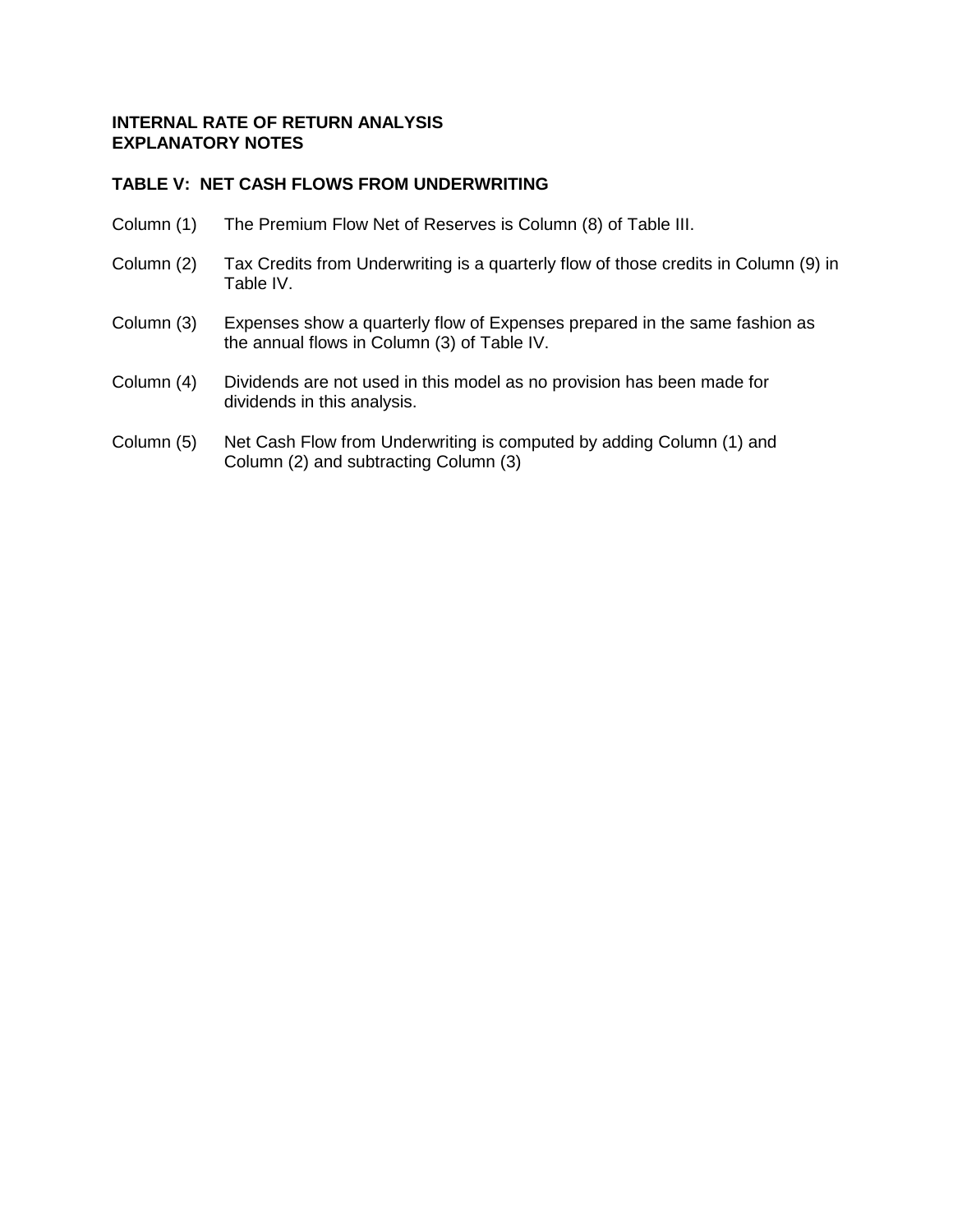## **TABLE V: NET CASH FLOWS FROM UNDERWRITING**

- Column (1) The Premium Flow Net of Reserves is Column (8) of Table III.
- Column (2) Tax Credits from Underwriting is a quarterly flow of those credits in Column (9) in Table IV.
- Column (3) Expenses show a quarterly flow of Expenses prepared in the same fashion as the annual flows in Column (3) of Table IV.
- Column (4) Dividends are not used in this model as no provision has been made for dividends in this analysis.
- Column (5) Net Cash Flow from Underwriting is computed by adding Column (1) and Column (2) and subtracting Column (3)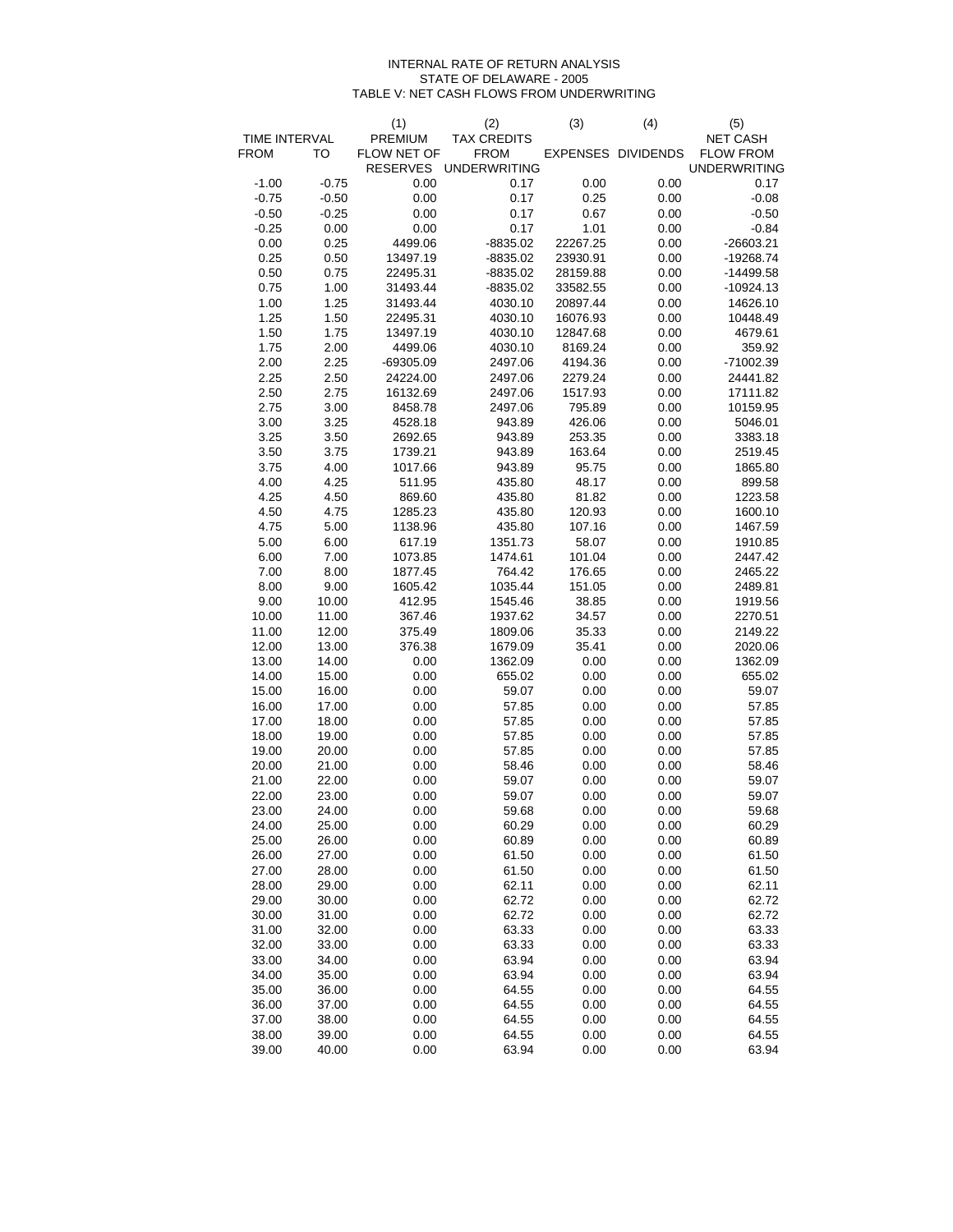#### INTERNAL RATE OF RETURN ANALYSIS STATE OF DELAWARE - 2005 TABLE V: NET CASH FLOWS FROM UNDERWRITING

|               |         | (1)             | (2)                 | (3)      | (4)                | (5)                 |
|---------------|---------|-----------------|---------------------|----------|--------------------|---------------------|
| TIME INTERVAL |         | PREMIUM         | <b>TAX CREDITS</b>  |          |                    | <b>NET CASH</b>     |
| <b>FROM</b>   | TO      | FLOW NET OF     | <b>FROM</b>         |          | EXPENSES DIVIDENDS | <b>FLOW FROM</b>    |
|               |         | <b>RESERVES</b> | <b>UNDERWRITING</b> |          |                    | <b>UNDERWRITING</b> |
| $-1.00$       | $-0.75$ | 0.00            | 0.17                | 0.00     | 0.00               | 0.17                |
| $-0.75$       | $-0.50$ | 0.00            | 0.17                | 0.25     | 0.00               | $-0.08$             |
| $-0.50$       | $-0.25$ | 0.00            | 0.17                | 0.67     | 0.00               | $-0.50$             |
| $-0.25$       | 0.00    | 0.00            | 0.17                | 1.01     | 0.00               | $-0.84$             |
| 0.00          | 0.25    | 4499.06         | $-8835.02$          | 22267.25 | 0.00               | $-26603.21$         |
| 0.25          | 0.50    | 13497.19        | $-8835.02$          | 23930.91 | 0.00               | -19268.74           |
| 0.50          | 0.75    | 22495.31        | $-8835.02$          | 28159.88 | 0.00               | $-14499.58$         |
| 0.75          | 1.00    | 31493.44        | $-8835.02$          | 33582.55 | 0.00               | $-10924.13$         |
| 1.00          | 1.25    | 31493.44        | 4030.10             | 20897.44 | 0.00               | 14626.10            |
| 1.25          | 1.50    | 22495.31        | 4030.10             | 16076.93 | 0.00               | 10448.49            |
| 1.50          | 1.75    | 13497.19        | 4030.10             | 12847.68 | 0.00               | 4679.61             |
| 1.75          | 2.00    | 4499.06         | 4030.10             | 8169.24  | 0.00               | 359.92              |
| 2.00          | 2.25    | $-69305.09$     | 2497.06             | 4194.36  | 0.00               | -71002.39           |
| 2.25          | 2.50    | 24224.00        | 2497.06             | 2279.24  | 0.00               | 24441.82            |
| 2.50          | 2.75    | 16132.69        | 2497.06             | 1517.93  | 0.00               | 17111.82            |
| 2.75          | 3.00    | 8458.78         | 2497.06             | 795.89   | 0.00               | 10159.95            |
| 3.00          | 3.25    | 4528.18         | 943.89              | 426.06   | 0.00               | 5046.01             |
| 3.25          | 3.50    | 2692.65         | 943.89              | 253.35   | 0.00               | 3383.18             |
| 3.50          | 3.75    | 1739.21         | 943.89              | 163.64   | 0.00               | 2519.45             |
| 3.75          | 4.00    | 1017.66         | 943.89              | 95.75    | 0.00               | 1865.80             |
| 4.00          | 4.25    | 511.95          | 435.80              | 48.17    | 0.00               | 899.58              |
| 4.25          | 4.50    | 869.60          | 435.80              | 81.82    | 0.00               | 1223.58             |
| 4.50          | 4.75    | 1285.23         | 435.80              | 120.93   | 0.00               | 1600.10             |
| 4.75          | 5.00    | 1138.96         | 435.80              | 107.16   | 0.00               | 1467.59             |
| 5.00          | 6.00    | 617.19          | 1351.73             | 58.07    | 0.00               | 1910.85             |
| 6.00          | 7.00    | 1073.85         | 1474.61             | 101.04   | 0.00               | 2447.42             |
| 7.00          | 8.00    | 1877.45         | 764.42              | 176.65   | 0.00               | 2465.22             |
| 8.00          | 9.00    | 1605.42         | 1035.44             | 151.05   | 0.00               | 2489.81             |
| 9.00          | 10.00   | 412.95          | 1545.46             | 38.85    | 0.00               | 1919.56             |
| 10.00         | 11.00   | 367.46          | 1937.62             | 34.57    | 0.00               | 2270.51             |
| 11.00         | 12.00   | 375.49          | 1809.06             | 35.33    | 0.00               | 2149.22             |
| 12.00         | 13.00   | 376.38          | 1679.09             | 35.41    | 0.00               | 2020.06             |
| 13.00         | 14.00   | 0.00            | 1362.09             | 0.00     | 0.00               | 1362.09             |
| 14.00         | 15.00   | 0.00            | 655.02              | 0.00     | 0.00               | 655.02              |
| 15.00         | 16.00   | 0.00            | 59.07               | 0.00     | 0.00               | 59.07               |
| 16.00         | 17.00   | 0.00            | 57.85               | 0.00     | 0.00               | 57.85               |
| 17.00         | 18.00   | 0.00            | 57.85               | 0.00     | 0.00               | 57.85               |
| 18.00         | 19.00   | 0.00            | 57.85               | 0.00     | 0.00               | 57.85               |
| 19.00         | 20.00   | 0.00            | 57.85               | 0.00     | 0.00               | 57.85               |
| 20.00         | 21.00   | 0.00            | 58.46               | 0.00     | 0.00               | 58.46               |
| 21.00         | 22.00   | 0.00            | 59.07               | 0.00     | 0.00               | 59.07               |
| 22.00         | 23.00   | 0.00            | 59.07               | 0.00     | 0.00               | 59.07               |
| 23.00         | 24.00   | 0.00            | 59.68               | 0.00     | 0.00               | 59.68               |
| 24.00         | 25.00   | 0.00            | 60.29               | 0.00     | 0.00               | 60.29               |
| 25.00         | 26.00   | 0.00            | 60.89               | 0.00     | 0.00               | 60.89               |
| 26.00         | 27.00   | 0.00            | 61.50               | 0.00     | 0.00               | 61.50               |
| 27.00         | 28.00   | 0.00            | 61.50               | 0.00     | 0.00               | 61.50               |
| 28.00         | 29.00   | 0.00            | 62.11               | 0.00     | 0.00               | 62.11               |
| 29.00         | 30.00   | 0.00            | 62.72               | 0.00     | 0.00               | 62.72               |
| 30.00         | 31.00   | 0.00            | 62.72               | 0.00     | 0.00               | 62.72               |
| 31.00         | 32.00   | 0.00            | 63.33               | 0.00     | 0.00               | 63.33               |
| 32.00         | 33.00   | 0.00            | 63.33               | 0.00     | 0.00               | 63.33               |
| 33.00         | 34.00   | 0.00            | 63.94               | 0.00     | 0.00               | 63.94               |
| 34.00         | 35.00   | 0.00            | 63.94               | 0.00     | 0.00               | 63.94               |
| 35.00         | 36.00   | 0.00            | 64.55               | 0.00     | 0.00               | 64.55               |
| 36.00         | 37.00   | 0.00            | 64.55               | 0.00     | 0.00               | 64.55               |
| 37.00         | 38.00   | 0.00            | 64.55               | 0.00     | 0.00               | 64.55               |
| 38.00         | 39.00   | 0.00            | 64.55               | 0.00     | 0.00               | 64.55               |
| 39.00         | 40.00   | 0.00            | 63.94               | 0.00     | 0.00               | 63.94               |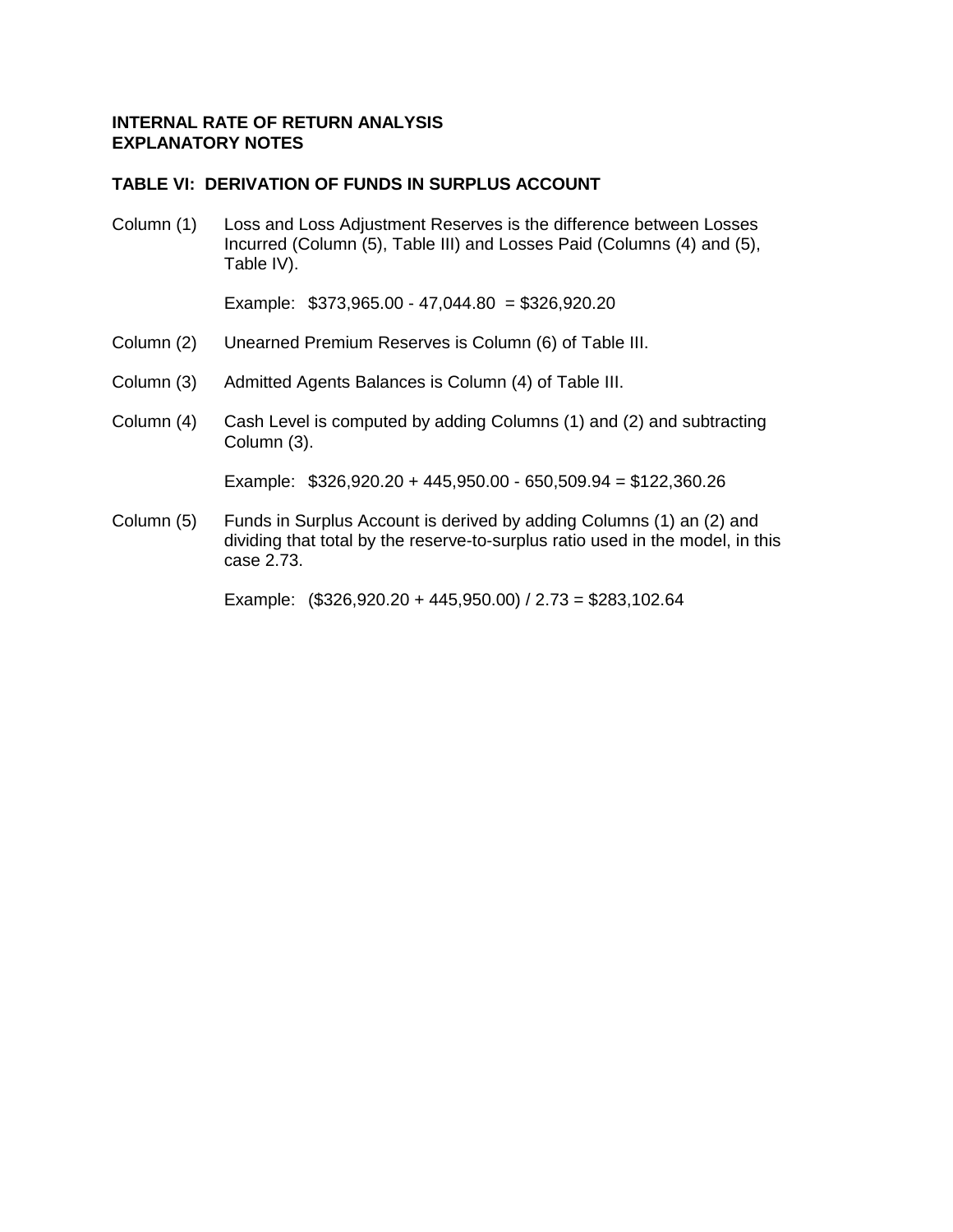## **TABLE VI: DERIVATION OF FUNDS IN SURPLUS ACCOUNT**

Column (1) Loss and Loss Adjustment Reserves is the difference between Losses Incurred (Column (5), Table III) and Losses Paid (Columns (4) and (5), Table IV).

Example: \$373,965.00 - 47,044.80 = \$326,920.20

- Column (2) Unearned Premium Reserves is Column (6) of Table III.
- Column (3) Admitted Agents Balances is Column (4) of Table III.
- Column (4) Cash Level is computed by adding Columns (1) and (2) and subtracting Column (3).

Example: \$326,920.20 + 445,950.00 - 650,509.94 = \$122,360.26

Column (5) Funds in Surplus Account is derived by adding Columns (1) an (2) and dividing that total by the reserve-to-surplus ratio used in the model, in this case 2.73.

Example: (\$326,920.20 + 445,950.00) / 2.73 = \$283,102.64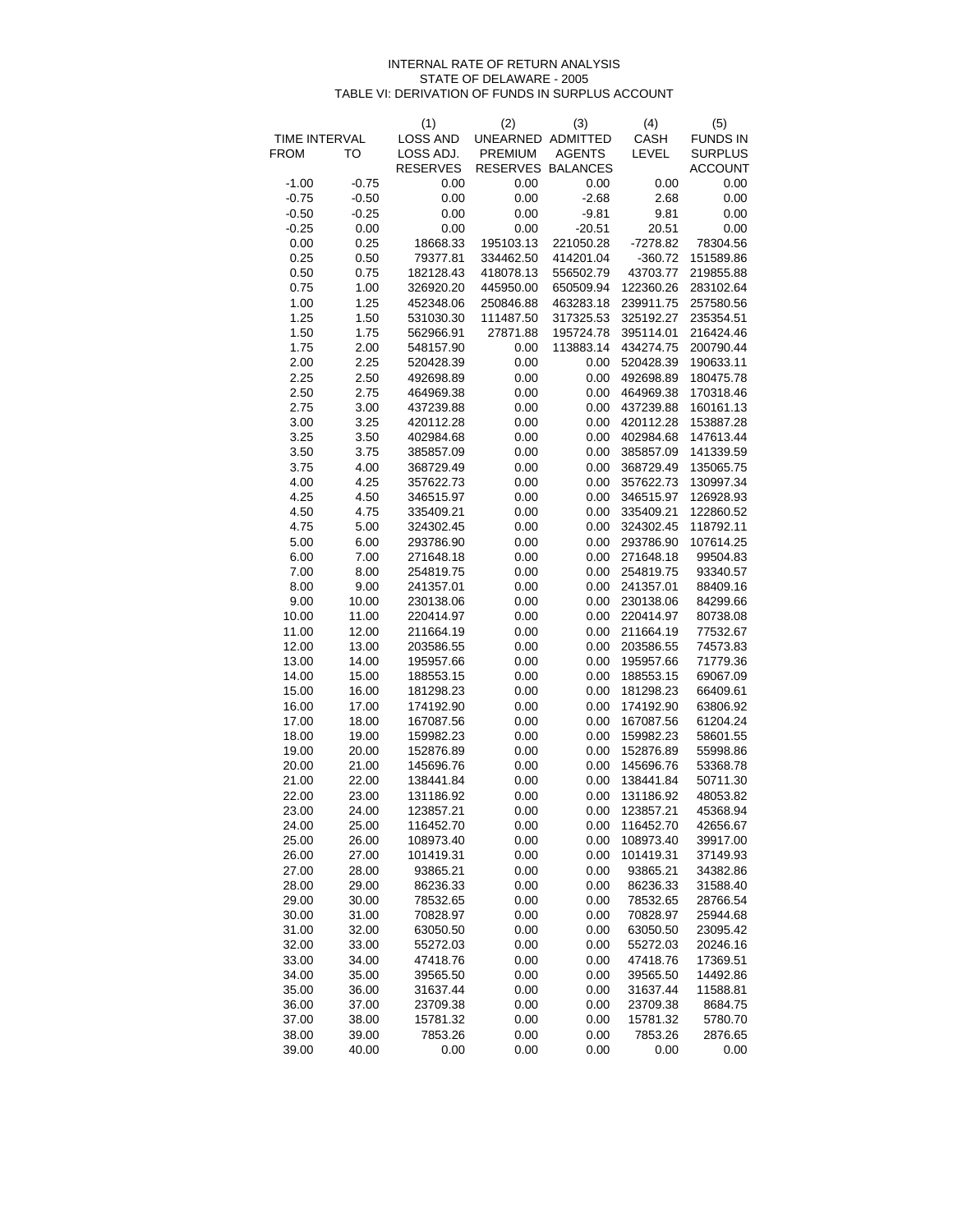#### INTERNAL RATE OF RETURN ANALYSIS STATE OF DELAWARE - 2005 TABLE VI: DERIVATION OF FUNDS IN SURPLUS ACCOUNT

|               |         | (1)                    | (2)               | (3)           | (4)        | (5)             |
|---------------|---------|------------------------|-------------------|---------------|------------|-----------------|
| TIME INTERVAL |         | <b>LOSS AND</b>        | UNEARNED ADMITTED |               | CASH       | <b>FUNDS IN</b> |
| <b>FROM</b>   | то      | LOSS ADJ.              | <b>PREMIUM</b>    | <b>AGENTS</b> | LEVEL      | <b>SURPLUS</b>  |
|               |         | <b>RESERVES</b>        | RESERVES BALANCES |               |            | <b>ACCOUNT</b>  |
| $-1.00$       | $-0.75$ | 0.00                   | 0.00              | 0.00          | 0.00       | 0.00            |
| $-0.75$       | $-0.50$ | 0.00                   | 0.00              | $-2.68$       | 2.68       | 0.00            |
| $-0.50$       | $-0.25$ | 0.00                   | 0.00              | $-9.81$       | 9.81       | 0.00            |
| $-0.25$       | 0.00    | 0.00                   | 0.00              | $-20.51$      | 20.51      | 0.00            |
| 0.00          | 0.25    | 18668.33               | 195103.13         | 221050.28     | $-7278.82$ | 78304.56        |
| 0.25          | 0.50    | 79377.81               | 334462.50         | 414201.04     | $-360.72$  | 151589.86       |
| 0.50          | 0.75    | 182128.43              | 418078.13         | 556502.79     | 43703.77   | 219855.88       |
| 0.75          | 1.00    | 326920.20              | 445950.00         | 650509.94     | 122360.26  | 283102.64       |
| 1.00          | 1.25    | 452348.06              | 250846.88         | 463283.18     | 239911.75  | 257580.56       |
| 1.25          | 1.50    | 531030.30              | 111487.50         | 317325.53     | 325192.27  | 235354.51       |
| 1.50          | 1.75    | 562966.91              | 27871.88          | 195724.78     | 395114.01  | 216424.46       |
| 1.75          | 2.00    | 548157.90              | 0.00              | 113883.14     | 434274.75  | 200790.44       |
| 2.00          | 2.25    | 520428.39              | 0.00              | 0.00          | 520428.39  | 190633.11       |
| 2.25          | 2.50    | 492698.89              | 0.00              | 0.00          | 492698.89  | 180475.78       |
| 2.50          | 2.75    | 464969.38              | 0.00              | 0.00          | 464969.38  | 170318.46       |
| 2.75          | 3.00    | 437239.88              | 0.00              | 0.00          | 437239.88  | 160161.13       |
| 3.00          | 3.25    | 420112.28              | 0.00              | 0.00          | 420112.28  | 153887.28       |
| 3.25          | 3.50    | 402984.68              | 0.00              | 0.00          | 402984.68  | 147613.44       |
| 3.50          | 3.75    | 385857.09              | 0.00              | 0.00          | 385857.09  | 141339.59       |
| 3.75          | 4.00    | 368729.49              | 0.00              | 0.00          | 368729.49  | 135065.75       |
| 4.00          | 4.25    | 357622.73              | 0.00              | 0.00          | 357622.73  | 130997.34       |
| 4.25          | 4.50    | 346515.97              | 0.00              | 0.00          | 346515.97  | 126928.93       |
| 4.50          | 4.75    | 335409.21              | 0.00              | 0.00          | 335409.21  | 122860.52       |
| 4.75          | 5.00    | 324302.45              | 0.00              | 0.00          | 324302.45  | 118792.11       |
| 5.00          | 6.00    | 293786.90              | 0.00              | 0.00          | 293786.90  | 107614.25       |
| 6.00          | 7.00    | 271648.18              | 0.00              | 0.00          | 271648.18  | 99504.83        |
| 7.00          | 8.00    | 254819.75              | 0.00              | 0.00          | 254819.75  | 93340.57        |
| 8.00          | 9.00    | 241357.01              | 0.00              | 0.00          | 241357.01  | 88409.16        |
| 9.00          | 10.00   | 230138.06              | 0.00              | 0.00          | 230138.06  | 84299.66        |
| 10.00         | 11.00   | 220414.97              | 0.00              | 0.00          | 220414.97  | 80738.08        |
| 11.00         | 12.00   | 211664.19              | 0.00              | 0.00          | 211664.19  | 77532.67        |
| 12.00         | 13.00   | 203586.55              | 0.00              | 0.00          | 203586.55  | 74573.83        |
| 13.00         | 14.00   | 195957.66              | 0.00              | 0.00          | 195957.66  | 71779.36        |
|               |         | 188553.15              | 0.00              |               |            | 69067.09        |
| 14.00         | 15.00   |                        | 0.00              | 0.00<br>0.00  | 188553.15  |                 |
| 15.00         | 16.00   | 181298.23              |                   |               | 181298.23  | 66409.61        |
| 16.00         | 17.00   | 174192.90<br>167087.56 | 0.00              | 0.00          | 174192.90  | 63806.92        |
| 17.00         | 18.00   |                        | 0.00              | 0.00          | 167087.56  | 61204.24        |
| 18.00         | 19.00   | 159982.23              | 0.00              | 0.00          | 159982.23  | 58601.55        |
| 19.00         | 20.00   | 152876.89              | 0.00              | 0.00          | 152876.89  | 55998.86        |
| 20.00         | 21.00   | 145696.76              | 0.00              | 0.00          | 145696.76  | 53368.78        |
| 21.00         | 22.00   | 138441.84              | 0.00              | 0.00          | 138441.84  | 50711.30        |
| 22.00         | 23.00   | 131186.92              | 0.00              | 0.00          | 131186.92  | 48053.82        |
| 23.00         | 24.00   | 123857.21              | 0.00              | 0.00          | 123857.21  | 45368.94        |
| 24.00         | 25.00   | 116452.70              | 0.00              | 0.00          | 116452.70  | 42656.67        |
| 25.00         | 26.00   | 108973.40              | 0.00              | 0.00          | 108973.40  | 39917.00        |
| 26.00         | 27.00   | 101419.31              | 0.00              | 0.00          | 101419.31  | 37149.93        |
| 27.00         | 28.00   | 93865.21               | 0.00              | 0.00          | 93865.21   | 34382.86        |
| 28.00         | 29.00   | 86236.33               | 0.00              | 0.00          | 86236.33   | 31588.40        |
| 29.00         | 30.00   | 78532.65               | 0.00              | 0.00          | 78532.65   | 28766.54        |
| 30.00         | 31.00   | 70828.97               | 0.00              | 0.00          | 70828.97   | 25944.68        |
| 31.00         | 32.00   | 63050.50               | 0.00              | 0.00          | 63050.50   | 23095.42        |
| 32.00         | 33.00   | 55272.03               | 0.00              | 0.00          | 55272.03   | 20246.16        |
| 33.00         | 34.00   | 47418.76               | 0.00              | 0.00          | 47418.76   | 17369.51        |
| 34.00         | 35.00   | 39565.50               | 0.00              | 0.00          | 39565.50   | 14492.86        |
| 35.00         | 36.00   | 31637.44               | 0.00              | 0.00          | 31637.44   | 11588.81        |
| 36.00         | 37.00   | 23709.38               | 0.00              | 0.00          | 23709.38   | 8684.75         |
| 37.00         | 38.00   | 15781.32               | 0.00              | 0.00          | 15781.32   | 5780.70         |
| 38.00         | 39.00   | 7853.26                | 0.00              | 0.00          | 7853.26    | 2876.65         |
| 39.00         | 40.00   | 0.00                   | 0.00              | 0.00          | 0.00       | 0.00            |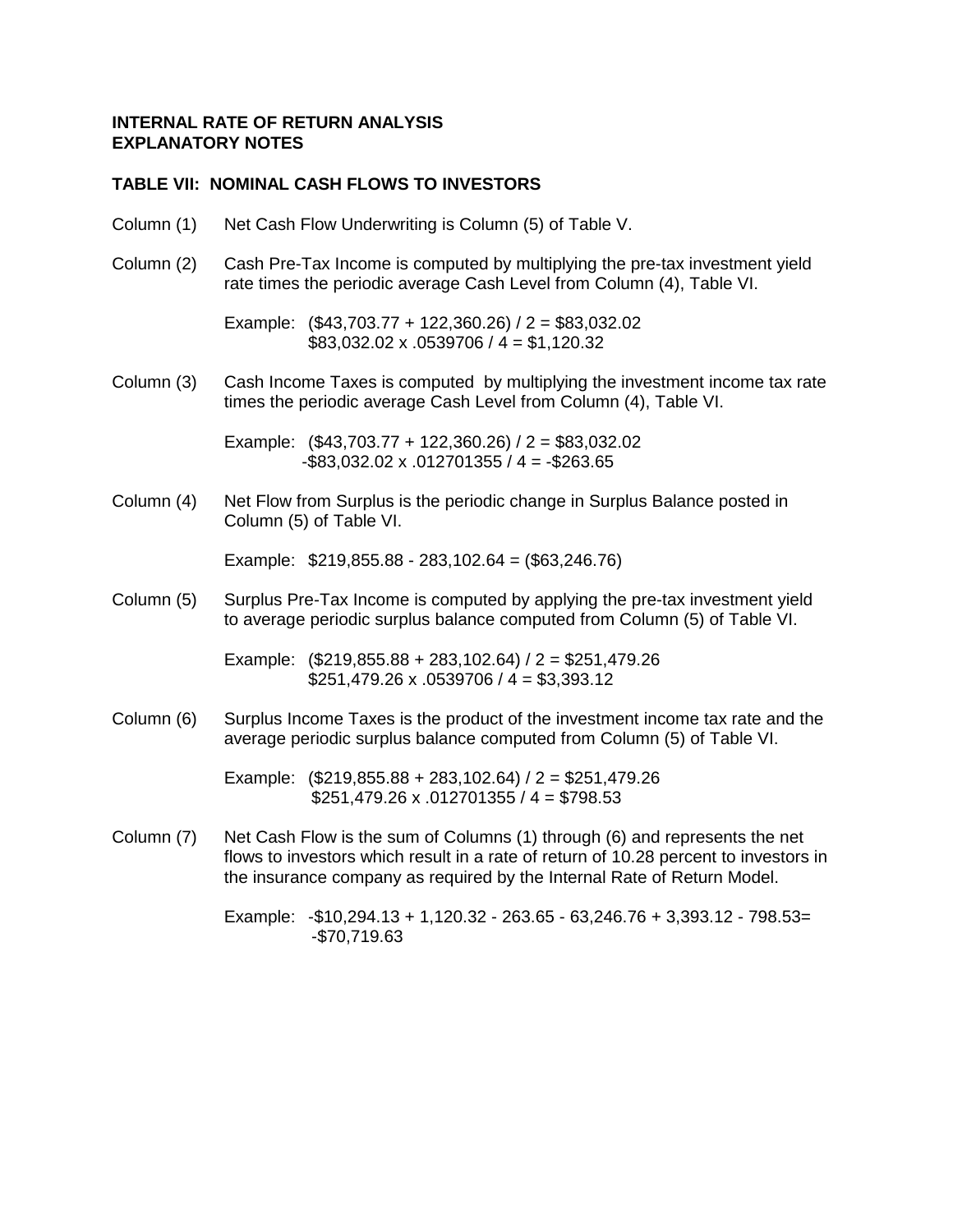# **TABLE VII: NOMINAL CASH FLOWS TO INVESTORS**

Column (1) Net Cash Flow Underwriting is Column (5) of Table V. Column (2) Cash Pre-Tax Income is computed by multiplying the pre-tax investment yield rate times the periodic average Cash Level from Column (4), Table VI. Example: (\$43,703.77 + 122,360.26) / 2 = \$83,032.02  $$83,032.02 \times .0539706 / 4 = $1,120.32$ Column (3) Cash Income Taxes is computed by multiplying the investment income tax rate times the periodic average Cash Level from Column (4), Table VI. Example: (\$43,703.77 + 122,360.26) / 2 = \$83,032.02  $-$ \$83,032.02 x .012701355 / 4 =  $-$ \$263.65 Column (4) Net Flow from Surplus is the periodic change in Surplus Balance posted in Column (5) of Table VI. Example: \$219,855.88 - 283,102.64 = (\$63,246.76) Column (5) Surplus Pre-Tax Income is computed by applying the pre-tax investment yield to average periodic surplus balance computed from Column (5) of Table VI. Example: (\$219,855.88 + 283,102.64) / 2 = \$251,479.26  $$251,479.26 \times .0539706 / 4 = $3,393.12$ Column (6) Surplus Income Taxes is the product of the investment income tax rate and the average periodic surplus balance computed from Column (5) of Table VI. Example: (\$219,855.88 + 283,102.64) / 2 = \$251,479.26  $$251,479.26 \times .012701355 / 4 = $798.53$ Column (7) Net Cash Flow is the sum of Columns (1) through (6) and represents the net flows to investors which result in a rate of return of 10.28 percent to investors in the insurance company as required by the Internal Rate of Return Model.

> Example:  $-$ \$10,294.13 + 1,120.32 - 263.65 - 63,246.76 + 3,393.12 - 798.53= -\$70,719.63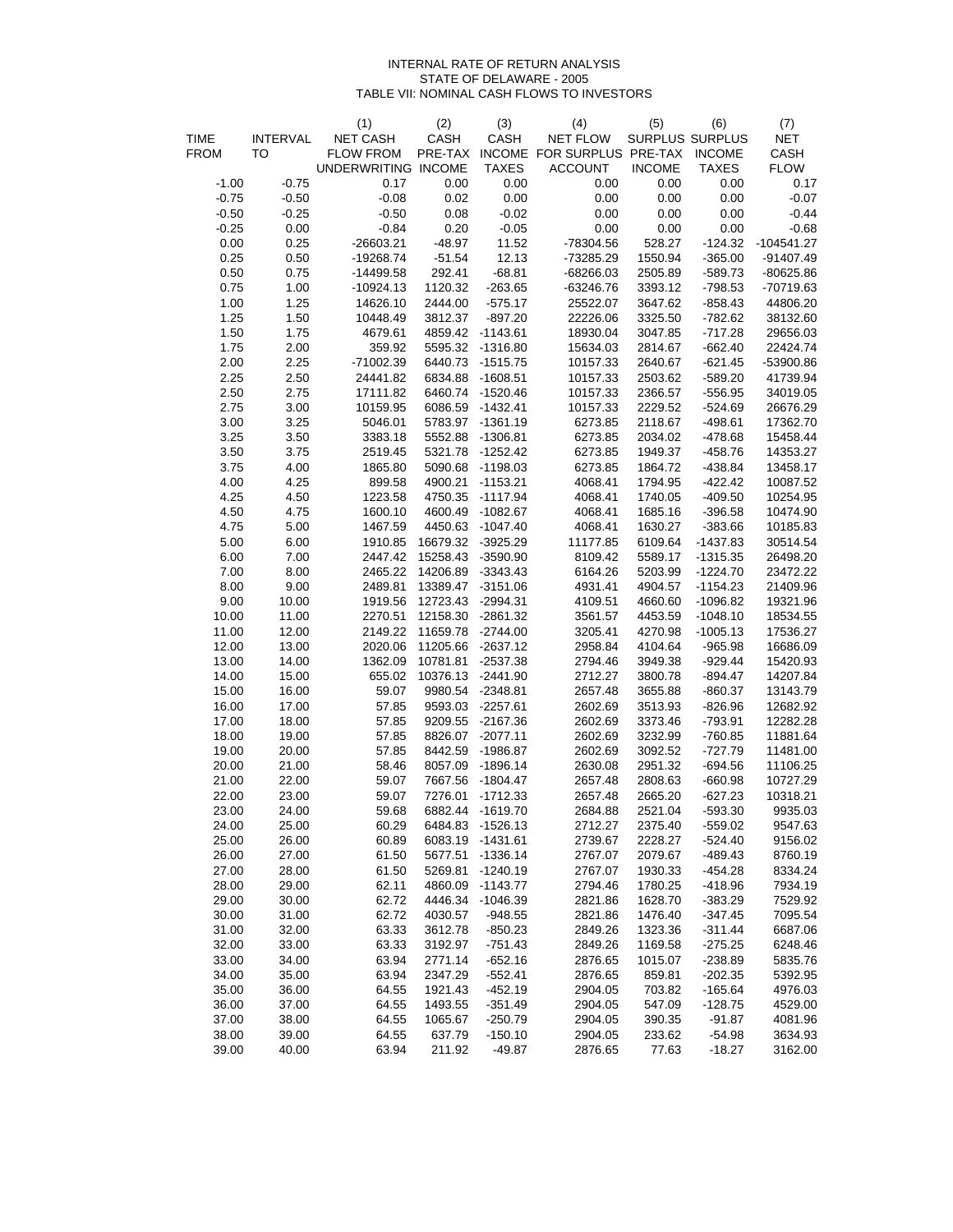#### INTERNAL RATE OF RETURN ANALYSIS STATE OF DELAWARE - 2005 TABLE VII: NOMINAL CASH FLOWS TO INVESTORS

|             |                 | (1)                 | (2)                         | (3)              | (4)                                       | (5)           | (6)                    | (7)          |
|-------------|-----------------|---------------------|-----------------------------|------------------|-------------------------------------------|---------------|------------------------|--------------|
| <b>TIME</b> | <b>INTERVAL</b> | NET CASH            | CASH                        | CASH             | <b>NET FLOW</b>                           |               | <b>SURPLUS SURPLUS</b> | <b>NET</b>   |
| <b>FROM</b> | TO              | <b>FLOW FROM</b>    |                             |                  | PRE-TAX INCOME FOR SURPLUS PRE-TAX INCOME |               |                        | CASH         |
|             |                 | UNDERWRITING INCOME |                             | <b>TAXES</b>     | <b>ACCOUNT</b>                            | <b>INCOME</b> | <b>TAXES</b>           | <b>FLOW</b>  |
| $-1.00$     | $-0.75$         | 0.17                | 0.00                        | $0.00\,$         | 0.00                                      | 0.00          | $0.00\,$               | 0.17         |
| $-0.75$     | $-0.50$         | $-0.08$             | 0.02                        | 0.00             | 0.00                                      | 0.00          | 0.00                   | $-0.07$      |
| $-0.50$     | $-0.25$         | $-0.50$             | 0.08                        | $-0.02$          | 0.00                                      | 0.00          | 0.00                   | $-0.44$      |
| $-0.25$     | 0.00            | $-0.84$             | 0.20                        | $-0.05$          | 0.00                                      | $0.00\,$      | 0.00                   | $-0.68$      |
| $0.00\,$    | 0.25            | $-26603.21$         | $-48.97$                    | 11.52            | -78304.56                                 | 528.27        | -124.32                | $-104541.27$ |
| 0.25        | 0.50            | $-19268.74$         | $-51.54$                    | 12.13            | -73285.29                                 | 1550.94       | $-365.00$              | $-91407.49$  |
| $0.50\,$    | 0.75            | $-14499.58$         | 292.41                      | $-68.81$         | $-68266.03$                               | 2505.89       | $-589.73$              | $-80625.86$  |
| 0.75        | 1.00            | $-10924.13$         | 1120.32                     | $-263.65$        | $-63246.76$                               | 3393.12       | $-798.53$              | -70719.63    |
| 1.00        | 1.25            | 14626.10            | 2444.00                     | $-575.17$        | 25522.07                                  | 3647.62       | $-858.43$              | 44806.20     |
| 1.25        | 1.50            | 10448.49            | 3812.37                     | $-897.20$        | 22226.06                                  | 3325.50       | $-782.62$              | 38132.60     |
| 1.50        | 1.75            | 4679.61             |                             | 4859.42 -1143.61 | 18930.04                                  | 3047.85       | $-717.28$              | 29656.03     |
| 1.75        | 2.00            | 359.92              |                             | 5595.32 -1316.80 | 15634.03                                  | 2814.67       | $-662.40$              | 22424.74     |
| 2.00        | 2.25            | -71002.39           |                             | 6440.73 -1515.75 | 10157.33                                  | 2640.67       | $-621.45$              | -53900.86    |
| 2.25        | 2.50            | 24441.82            |                             | 6834.88 -1608.51 | 10157.33                                  | 2503.62       | $-589.20$              | 41739.94     |
| 2.50        | 2.75            | 17111.82            |                             | 6460.74 -1520.46 | 10157.33                                  | 2366.57       | $-556.95$              | 34019.05     |
| 2.75        | 3.00            | 10159.95            |                             | 6086.59 -1432.41 | 10157.33                                  | 2229.52       | $-524.69$              | 26676.29     |
| 3.00        | 3.25            | 5046.01             |                             | 5783.97 -1361.19 | 6273.85                                   | 2118.67       | $-498.61$              | 17362.70     |
| 3.25        | 3.50            | 3383.18             |                             | 5552.88 -1306.81 | 6273.85                                   | 2034.02       | $-478.68$              | 15458.44     |
| 3.50        | 3.75            | 2519.45             |                             | 5321.78 -1252.42 | 6273.85                                   | 1949.37       | $-458.76$              | 14353.27     |
| 3.75        | 4.00            | 1865.80             |                             | 5090.68 -1198.03 | 6273.85                                   | 1864.72       | -438.84                | 13458.17     |
| 4.00        | 4.25            | 899.58              |                             | 4900.21 -1153.21 | 4068.41                                   | 1794.95       | $-422.42$              | 10087.52     |
| 4.25        | 4.50            | 1223.58             |                             | 4750.35 -1117.94 | 4068.41                                   | 1740.05       | $-409.50$              | 10254.95     |
| 4.50        | 4.75            | 1600.10             |                             | 4600.49 -1082.67 | 4068.41                                   | 1685.16       | $-396.58$              | 10474.90     |
| 4.75        | 5.00            | 1467.59             |                             | 4450.63 -1047.40 | 4068.41                                   | 1630.27       | $-383.66$              | 10185.83     |
| 5.00        | 6.00            |                     | 1910.85  16679.32  -3925.29 |                  | 11177.85                                  | 6109.64       | $-1437.83$             | 30514.54     |
| 6.00        | 7.00            | 2447.42             | 15258.43 -3590.90           |                  | 8109.42                                   | 5589.17       | $-1315.35$             | 26498.20     |
| 7.00        | 8.00            |                     | 2465.22 14206.89 -3343.43   |                  | 6164.26                                   | 5203.99       | $-1224.70$             | 23472.22     |
| 8.00        | 9.00            | 2489.81             | 13389.47 -3151.06           |                  | 4931.41                                   | 4904.57       | $-1154.23$             | 21409.96     |
| 9.00        | 10.00           |                     | 1919.56 12723.43 -2994.31   |                  | 4109.51                                   | 4660.60       | $-1096.82$             | 19321.96     |
| 10.00       | 11.00           |                     | 2270.51 12158.30 -2861.32   |                  | 3561.57                                   | 4453.59       | $-1048.10$             | 18534.55     |
| 11.00       | 12.00           | 2149.22             | 11659.78 -2744.00           |                  | 3205.41                                   | 4270.98       | $-1005.13$             | 17536.27     |
| 12.00       | 13.00           |                     | 2020.06 11205.66 -2637.12   |                  | 2958.84                                   | 4104.64       | $-965.98$              | 16686.09     |
| 13.00       | 14.00           | 1362.09             | 10781.81 -2537.38           |                  | 2794.46                                   | 3949.38       | $-929.44$              | 15420.93     |
| 14.00       | 15.00           | 655.02              | 10376.13 -2441.90           |                  | 2712.27                                   | 3800.78       | $-894.47$              | 14207.84     |
| 15.00       | 16.00           | 59.07               |                             | 9980.54 -2348.81 | 2657.48                                   | 3655.88       | $-860.37$              | 13143.79     |
| 16.00       | 17.00           | 57.85               |                             | 9593.03 -2257.61 | 2602.69                                   | 3513.93       | $-826.96$              | 12682.92     |
| 17.00       | 18.00           | 57.85               |                             | 9209.55 -2167.36 | 2602.69                                   | 3373.46       | $-793.91$              | 12282.28     |
| 18.00       | 19.00           | 57.85               |                             | 8826.07 -2077.11 | 2602.69                                   | 3232.99       | $-760.85$              | 11881.64     |
| 19.00       | 20.00           | 57.85               |                             | 8442.59 -1986.87 | 2602.69                                   | 3092.52       | $-727.79$              | 11481.00     |
| 20.00       | 21.00           | 58.46               |                             | 8057.09 -1896.14 | 2630.08                                   | 2951.32       | $-694.56$              | 11106.25     |
| 21.00       | 22.00           | 59.07               |                             | 7667.56 -1804.47 | 2657.48                                   | 2808.63       | $-660.98$              | 10727.29     |
| 22.00       | 23.00           | 59.07               |                             | 7276.01 -1712.33 | 2657.48                                   | 2665.20       | $-627.23$              | 10318.21     |
| 23.00       | 24.00           | 59.68               |                             | 6882.44 -1619.70 | 2684.88                                   | 2521.04       | $-593.30$              | 9935.03      |
| 24.00       | 25.00           | 60.29               |                             | 6484.83 -1526.13 | 2712.27                                   | 2375.40       | $-559.02$              | 9547.63      |
| 25.00       | 26.00           | 60.89               | 6083.19                     | $-1431.61$       | 2739.67                                   | 2228.27       | $-524.40$              | 9156.02      |
| 26.00       | 27.00           | 61.50               | 5677.51                     | $-1336.14$       | 2767.07                                   | 2079.67       | $-489.43$              | 8760.19      |
| 27.00       | 28.00           | 61.50               | 5269.81                     | $-1240.19$       | 2767.07                                   | 1930.33       | $-454.28$              | 8334.24      |
| 28.00       | 29.00           | 62.11               | 4860.09                     | $-1143.77$       | 2794.46                                   | 1780.25       | $-418.96$              | 7934.19      |
| 29.00       | 30.00           | 62.72               | 4446.34                     | $-1046.39$       | 2821.86                                   | 1628.70       | $-383.29$              | 7529.92      |
| 30.00       | 31.00           | 62.72               | 4030.57                     | $-948.55$        | 2821.86                                   | 1476.40       | $-347.45$              | 7095.54      |
| 31.00       | 32.00           | 63.33               | 3612.78                     | $-850.23$        | 2849.26                                   | 1323.36       | $-311.44$              | 6687.06      |
| 32.00       | 33.00           | 63.33               | 3192.97                     | $-751.43$        | 2849.26                                   | 1169.58       | $-275.25$              | 6248.46      |
| 33.00       | 34.00           | 63.94               | 2771.14                     | $-652.16$        | 2876.65                                   | 1015.07       | $-238.89$              | 5835.76      |
| 34.00       | 35.00           | 63.94               | 2347.29                     | $-552.41$        | 2876.65                                   | 859.81        | $-202.35$              | 5392.95      |
| 35.00       | 36.00           | 64.55               | 1921.43                     | $-452.19$        | 2904.05                                   | 703.82        | $-165.64$              | 4976.03      |
| 36.00       | 37.00           | 64.55               | 1493.55                     | $-351.49$        | 2904.05                                   | 547.09        | $-128.75$              | 4529.00      |
| 37.00       | 38.00           | 64.55               | 1065.67                     | $-250.79$        | 2904.05                                   | 390.35        | $-91.87$               | 4081.96      |
| 38.00       | 39.00           | 64.55               | 637.79                      | $-150.10$        | 2904.05                                   | 233.62        | $-54.98$               | 3634.93      |
| 39.00       | 40.00           | 63.94               | 211.92                      | $-49.87$         | 2876.65                                   | 77.63         | $-18.27$               | 3162.00      |
|             |                 |                     |                             |                  |                                           |               |                        |              |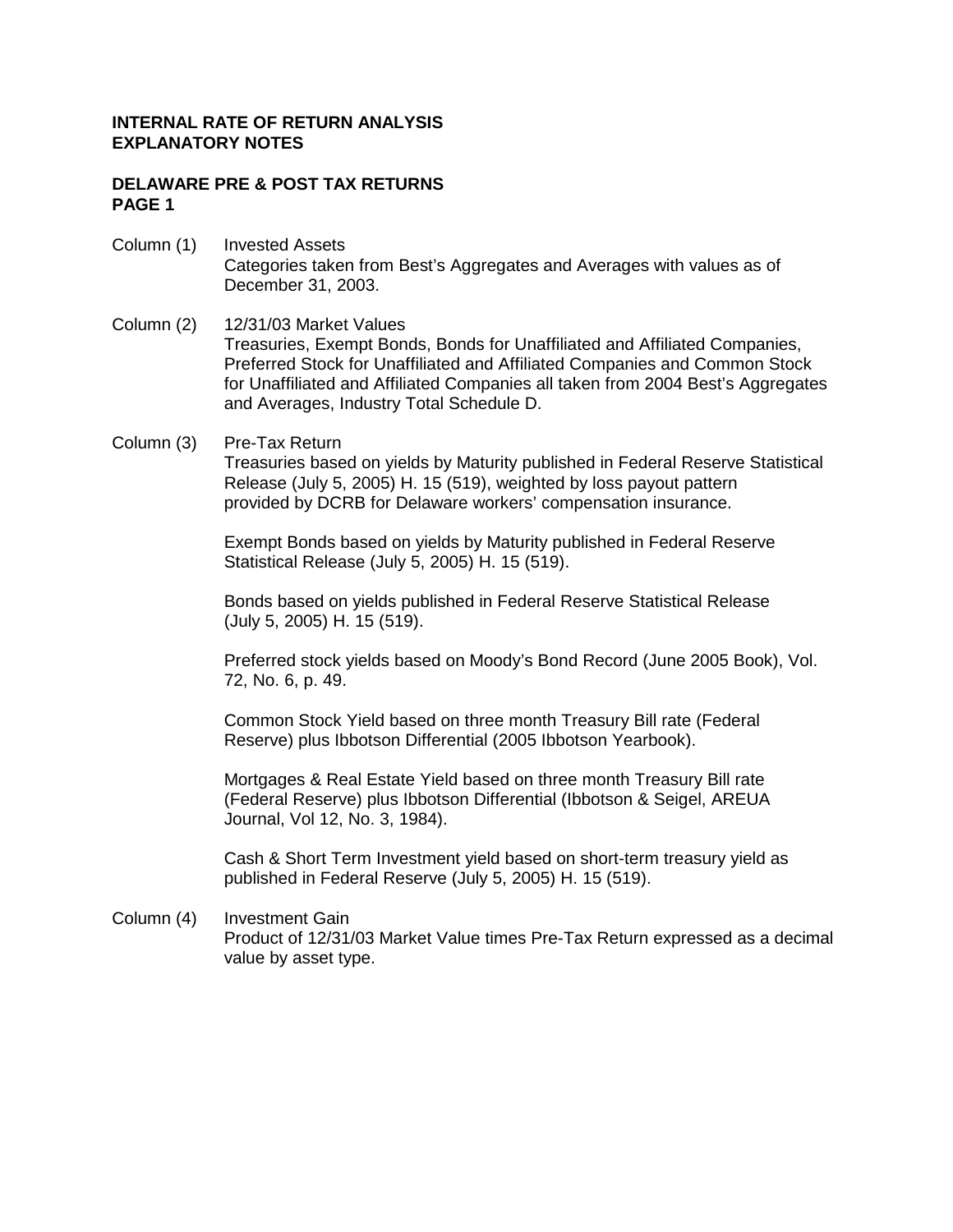### **DELAWARE PRE & POST TAX RETURNS PAGE 1**

- Column (1) Invested Assets Categories taken from Best's Aggregates and Averages with values as of December 31, 2003.
- Column (2) 12/31/03 Market Values Treasuries, Exempt Bonds, Bonds for Unaffiliated and Affiliated Companies, Preferred Stock for Unaffiliated and Affiliated Companies and Common Stock for Unaffiliated and Affiliated Companies all taken from 2004 Best's Aggregates and Averages, Industry Total Schedule D.
- Column (3) Pre-Tax Return

 Treasuries based on yields by Maturity published in Federal Reserve Statistical Release (July 5, 2005) H. 15 (519), weighted by loss payout pattern provided by DCRB for Delaware workers' compensation insurance.

 Exempt Bonds based on yields by Maturity published in Federal Reserve Statistical Release (July 5, 2005) H. 15 (519).

 Bonds based on yields published in Federal Reserve Statistical Release (July 5, 2005) H. 15 (519).

Preferred stock yields based on Moody's Bond Record (June 2005 Book), Vol. 72, No. 6, p. 49.

 Common Stock Yield based on three month Treasury Bill rate (Federal Reserve) plus Ibbotson Differential (2005 Ibbotson Yearbook).

 Mortgages & Real Estate Yield based on three month Treasury Bill rate (Federal Reserve) plus Ibbotson Differential (Ibbotson & Seigel, AREUA Journal, Vol 12, No. 3, 1984).

 Cash & Short Term Investment yield based on short-term treasury yield as published in Federal Reserve (July 5, 2005) H. 15 (519).

Column (4) Investment Gain Product of 12/31/03 Market Value times Pre-Tax Return expressed as a decimal value by asset type.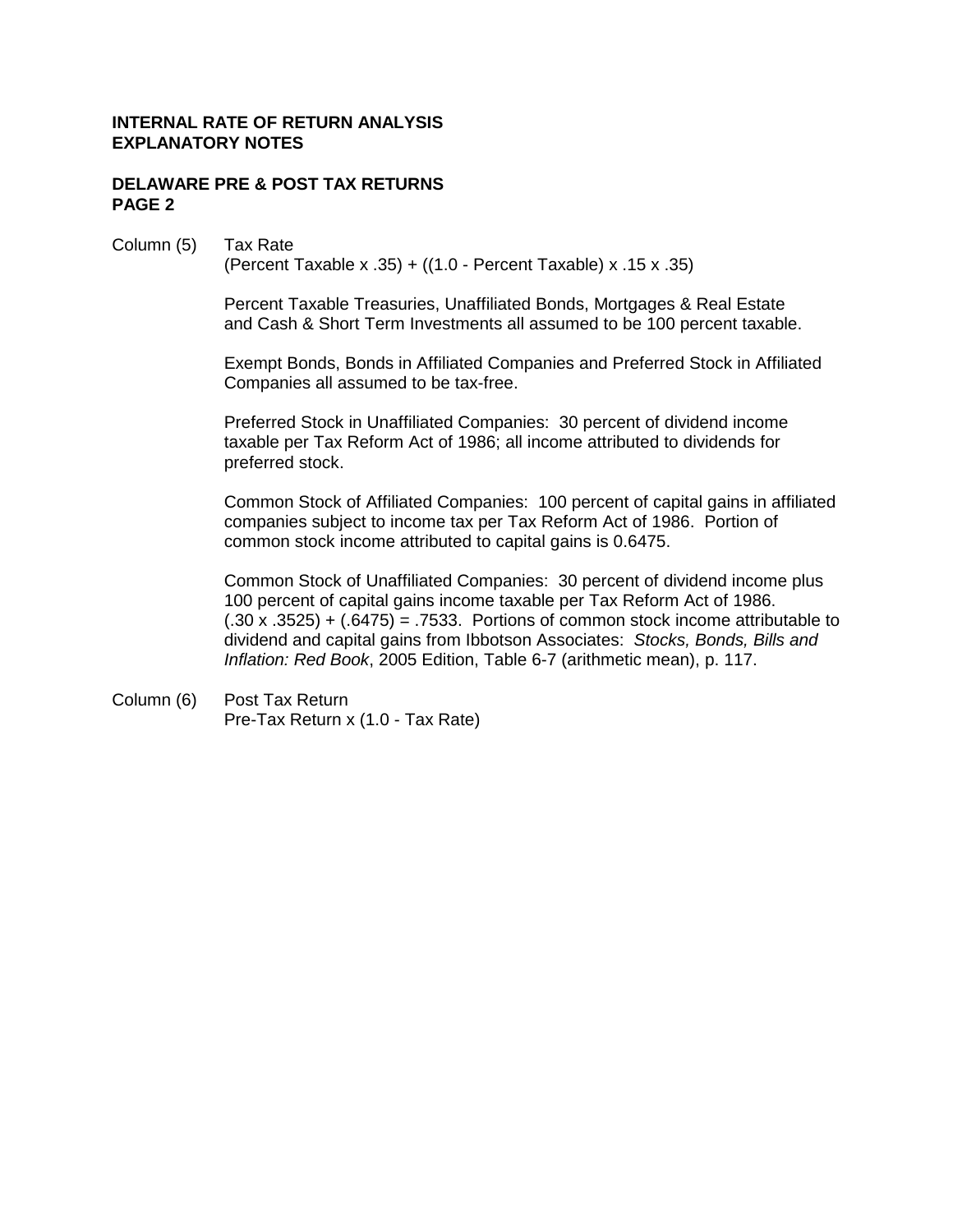### **DELAWARE PRE & POST TAX RETURNS PAGE 2**

### Column (5) Tax Rate

(Percent Taxable x .35) + ((1.0 - Percent Taxable) x .15 x .35)

 Percent Taxable Treasuries, Unaffiliated Bonds, Mortgages & Real Estate and Cash & Short Term Investments all assumed to be 100 percent taxable.

 Exempt Bonds, Bonds in Affiliated Companies and Preferred Stock in Affiliated Companies all assumed to be tax-free.

 Preferred Stock in Unaffiliated Companies: 30 percent of dividend income taxable per Tax Reform Act of 1986; all income attributed to dividends for preferred stock.

 Common Stock of Affiliated Companies: 100 percent of capital gains in affiliated companies subject to income tax per Tax Reform Act of 1986. Portion of common stock income attributed to capital gains is 0.6475.

 Common Stock of Unaffiliated Companies: 30 percent of dividend income plus 100 percent of capital gains income taxable per Tax Reform Act of 1986.  $(.30 \times .3525) + (.6475) = .7533$ . Portions of common stock income attributable to dividend and capital gains from Ibbotson Associates: *Stocks, Bonds, Bills and Inflation: Red Book*, 2005 Edition, Table 6-7 (arithmetic mean), p. 117.

Column (6) Post Tax Return Pre-Tax Return x (1.0 - Tax Rate)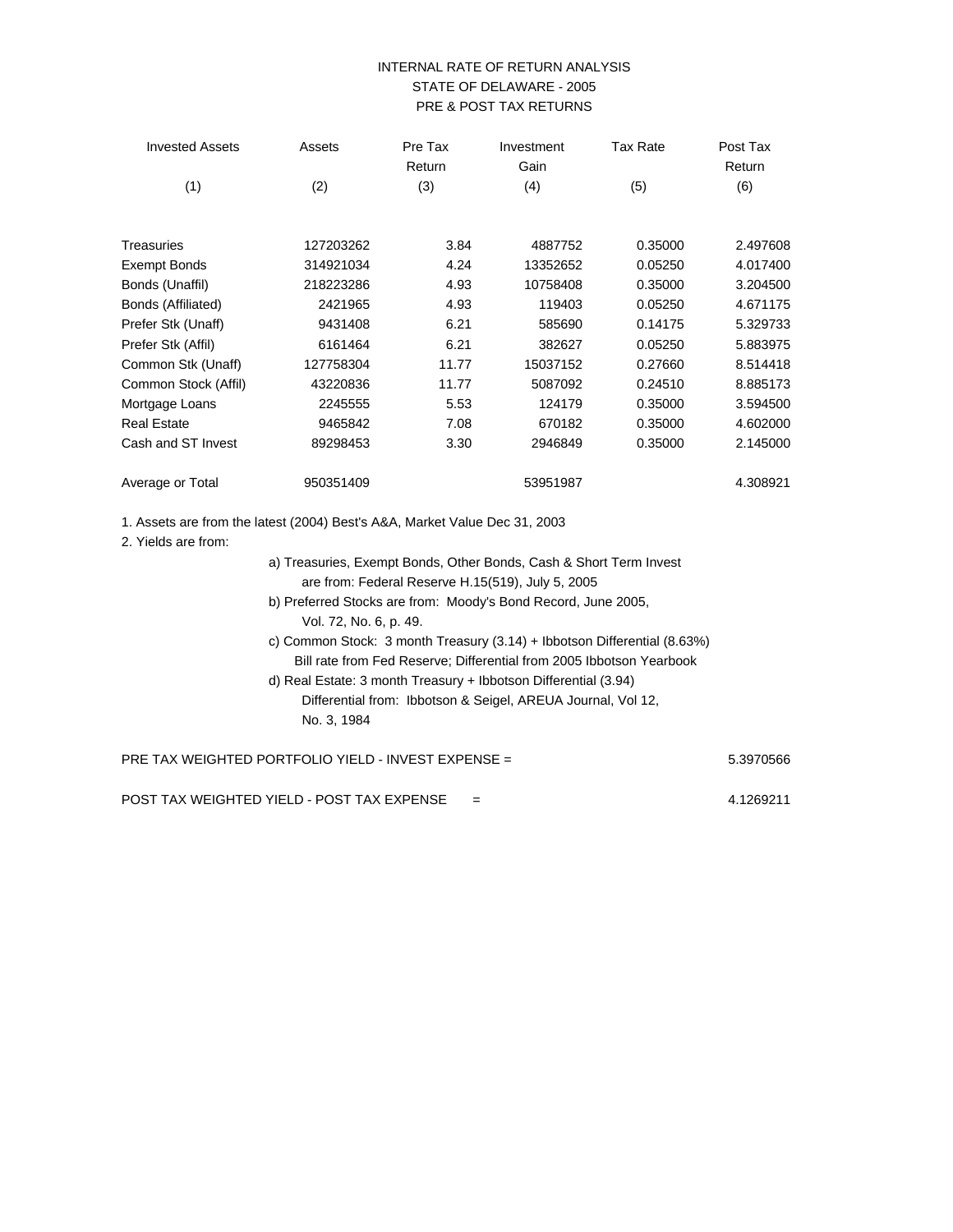### INTERNAL RATE OF RETURN ANALYSIS STATE OF DELAWARE - 2005 PRE & POST TAX RETURNS

| <b>Invested Assets</b> | Assets    | Pre Tax<br>Return | Investment<br>Gain | <b>Tax Rate</b> | Post Tax<br>Return |
|------------------------|-----------|-------------------|--------------------|-----------------|--------------------|
| (1)                    | (2)       | (3)               | (4)                | (5)             | (6)                |
| Treasuries             | 127203262 | 3.84              | 4887752            | 0.35000         | 2.497608           |
| <b>Exempt Bonds</b>    | 314921034 | 4.24              | 13352652           | 0.05250         | 4.017400           |
| Bonds (Unaffil)        | 218223286 | 4.93              | 10758408           | 0.35000         | 3.204500           |
| Bonds (Affiliated)     | 2421965   | 4.93              | 119403             | 0.05250         | 4.671175           |
| Prefer Stk (Unaff)     | 9431408   | 6.21              | 585690             | 0.14175         | 5.329733           |
| Prefer Stk (Affil)     | 6161464   | 6.21              | 382627             | 0.05250         | 5.883975           |
| Common Stk (Unaff)     | 127758304 | 11.77             | 15037152           | 0.27660         | 8.514418           |
| Common Stock (Affil)   | 43220836  | 11.77             | 5087092            | 0.24510         | 8.885173           |
| Mortgage Loans         | 2245555   | 5.53              | 124179             | 0.35000         | 3.594500           |
| <b>Real Estate</b>     | 9465842   | 7.08              | 670182             | 0.35000         | 4.602000           |
| Cash and ST Invest     | 89298453  | 3.30              | 2946849            | 0.35000         | 2.145000           |
| Average or Total       | 950351409 |                   | 53951987           |                 | 4.308921           |

1. Assets are from the latest (2004) Best's A&A, Market Value Dec 31, 2003

2. Yields are from:

a) Treasuries, Exempt Bonds, Other Bonds, Cash & Short Term Invest are from: Federal Reserve H.15(519), July 5, 2005 b) Preferred Stocks are from: Moody's Bond Record, June 2005, Vol. 72, No. 6, p. 49. c) Common Stock: 3 month Treasury (3.14) + Ibbotson Differential (8.63%) Bill rate from Fed Reserve; Differential from 2005 Ibbotson Yearbook d) Real Estate: 3 month Treasury + Ibbotson Differential (3.94) Differential from: Ibbotson & Seigel, AREUA Journal, Vol 12, No. 3, 1984 PRE TAX WEIGHTED PORTFOLIO YIELD - INVEST EXPENSE = 5.3970566 5.3970566

POST TAX WEIGHTED YIELD - POST TAX EXPENSE = 4.1269211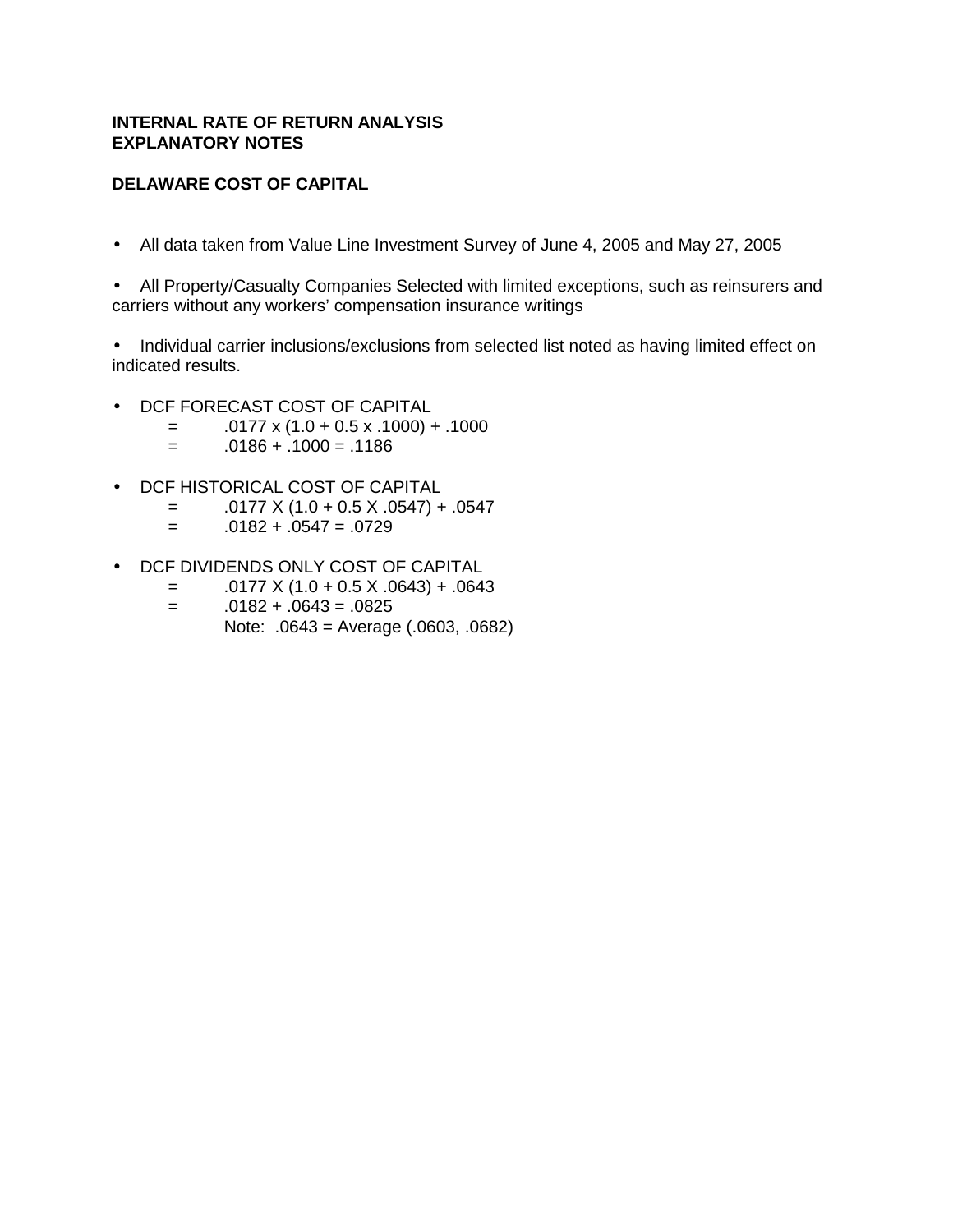# **DELAWARE COST OF CAPITAL**

• All data taken from Value Line Investment Survey of June 4, 2005 and May 27, 2005

• All Property/Casualty Companies Selected with limited exceptions, such as reinsurers and carriers without any workers' compensation insurance writings

• Individual carrier inclusions/exclusions from selected list noted as having limited effect on indicated results.

- DCF FORECAST COST OF CAPITAL
	- $=$  .0177 x (1.0 + 0.5 x .1000) + .1000
	- $= 0.0186 + 0.1000 = 0.1186$
- DCF HISTORICAL COST OF CAPITAL
	- $=$  .0177 X (1.0 + 0.5 X .0547) + .0547
	- $=$  .0182 + .0547 = .0729
- DCF DIVIDENDS ONLY COST OF CAPITAL
	- $=$  .0177 X (1.0 + 0.5 X .0643) + .0643
	- $= 0.0182 + 0.0643 = 0.0825$ 
		- Note: .0643 = Average (.0603, .0682)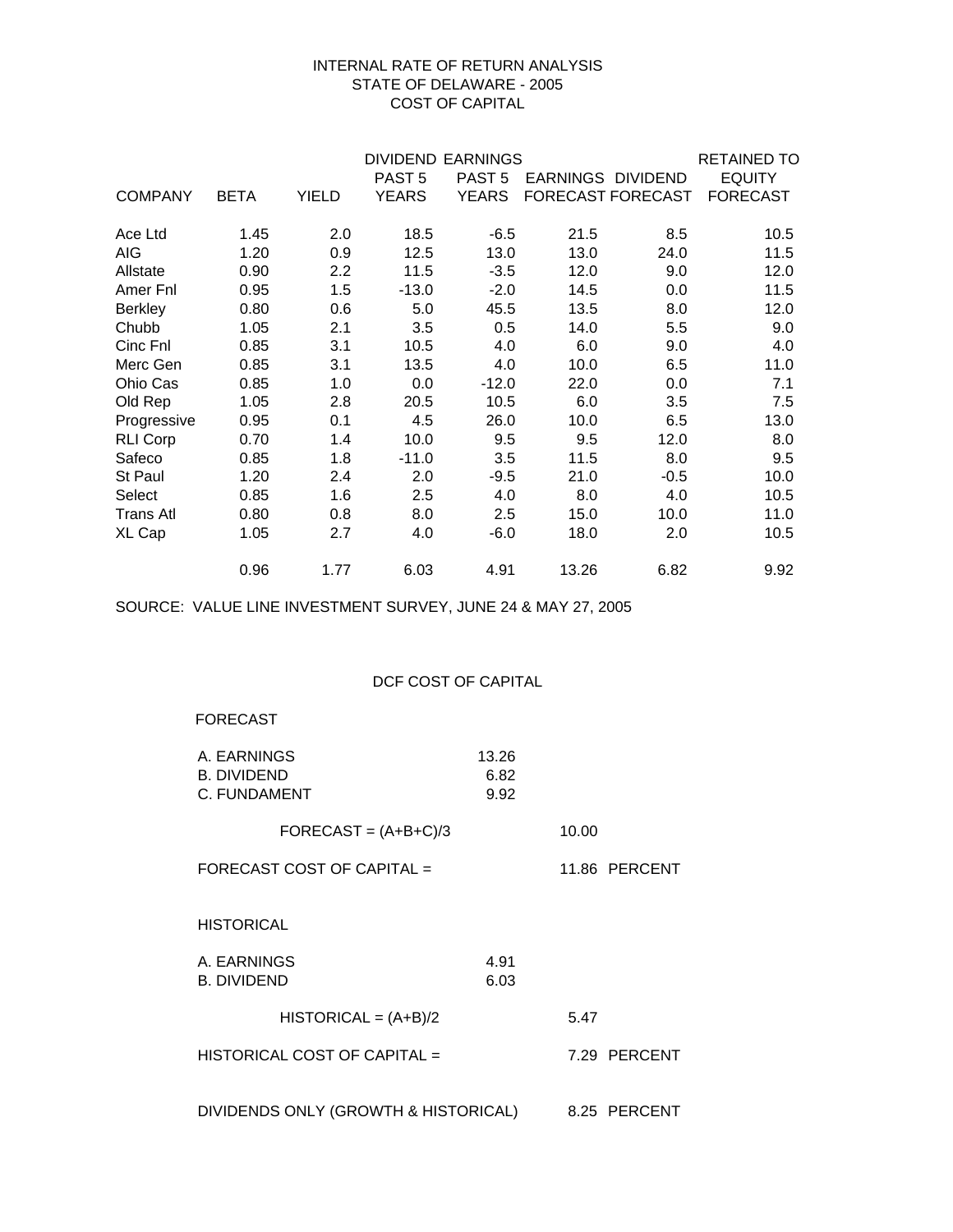### INTERNAL RATE OF RETURN ANALYSIS STATE OF DELAWARE - 2005 COST OF CAPITAL

| <b>DIVIDEND EARNINGS</b><br><b>RETAINED TO</b> |             |              |                   |                   |                   |                          |                 |  |
|------------------------------------------------|-------------|--------------|-------------------|-------------------|-------------------|--------------------------|-----------------|--|
|                                                |             |              | PAST <sub>5</sub> | PAST <sub>5</sub> | EARNINGS DIVIDEND |                          | <b>EQUITY</b>   |  |
| <b>COMPANY</b>                                 | <b>BETA</b> | <b>YIELD</b> | <b>YEARS</b>      | <b>YEARS</b>      |                   | <b>FORECAST FORECAST</b> | <b>FORECAST</b> |  |
| Ace Ltd                                        | 1.45        | 2.0          | 18.5              | $-6.5$            | 21.5              | 8.5                      | 10.5            |  |
| AIG                                            | 1.20        | 0.9          | 12.5              | 13.0              | 13.0              | 24.0                     | 11.5            |  |
| Allstate                                       | 0.90        | 2.2          | 11.5              | $-3.5$            | 12.0              | 9.0                      | 12.0            |  |
| Amer Fnl                                       | 0.95        | 1.5          | $-13.0$           | $-2.0$            | 14.5              | 0.0                      | 11.5            |  |
| <b>Berkley</b>                                 | 0.80        | 0.6          | 5.0               | 45.5              | 13.5              | 8.0                      | 12.0            |  |
| Chubb                                          | 1.05        | 2.1          | 3.5               | 0.5               | 14.0              | 5.5                      | 9.0             |  |
| Cinc Fnl                                       | 0.85        | 3.1          | 10.5              | 4.0               | 6.0               | 9.0                      | 4.0             |  |
| Merc Gen                                       | 0.85        | 3.1          | 13.5              | 4.0               | 10.0              | 6.5                      | 11.0            |  |
| Ohio Cas                                       | 0.85        | 1.0          | 0.0               | $-12.0$           | 22.0              | 0.0                      | 7.1             |  |
| Old Rep                                        | 1.05        | 2.8          | 20.5              | 10.5              | 6.0               | 3.5                      | 7.5             |  |
| Progressive                                    | 0.95        | 0.1          | 4.5               | 26.0              | 10.0              | 6.5                      | 13.0            |  |
| <b>RLI Corp</b>                                | 0.70        | 1.4          | 10.0              | 9.5               | 9.5               | 12.0                     | 8.0             |  |
| Safeco                                         | 0.85        | 1.8          | $-11.0$           | 3.5               | 11.5              | 8.0                      | 9.5             |  |
| St Paul                                        | 1.20        | 2.4          | 2.0               | $-9.5$            | 21.0              | $-0.5$                   | 10.0            |  |
| Select                                         | 0.85        | 1.6          | 2.5               | 4.0               | 8.0               | 4.0                      | 10.5            |  |
| <b>Trans Atl</b>                               | 0.80        | 0.8          | 8.0               | 2.5               | 15.0              | 10.0                     | 11.0            |  |
| XL Cap                                         | 1.05        | 2.7          | 4.0               | $-6.0$            | 18.0              | 2.0                      | 10.5            |  |
|                                                | 0.96        | 1.77         | 6.03              | 4.91              | 13.26             | 6.82                     | 9.92            |  |

SOURCE: VALUE LINE INVESTMENT SURVEY, JUNE 24 & MAY 27, 2005

### DCF COST OF CAPITAL

### FORECAST

| A. EARNINGS<br><b>B. DIVIDEND</b><br>C. FUNDAMENT | 13.26<br>6.82<br>9.92 |       |               |
|---------------------------------------------------|-----------------------|-------|---------------|
| $FORECAST = (A+B+C)/3$                            |                       | 10.00 |               |
| FORECAST COST OF CAPITAL =                        |                       |       | 11.86 PERCENT |
| <b>HISTORICAL</b>                                 |                       |       |               |
| A. EARNINGS<br><b>B. DIVIDEND</b>                 | 4.91<br>6.03          |       |               |
| $HISTORICAL = (A+B)/2$                            |                       | 5.47  |               |
| HISTORICAL COST OF CAPITAL =                      |                       |       | 7.29 PERCENT  |
| DIVIDENDS ONLY (GROWTH & HISTORICAL)              |                       |       | 8.25 PERCENT  |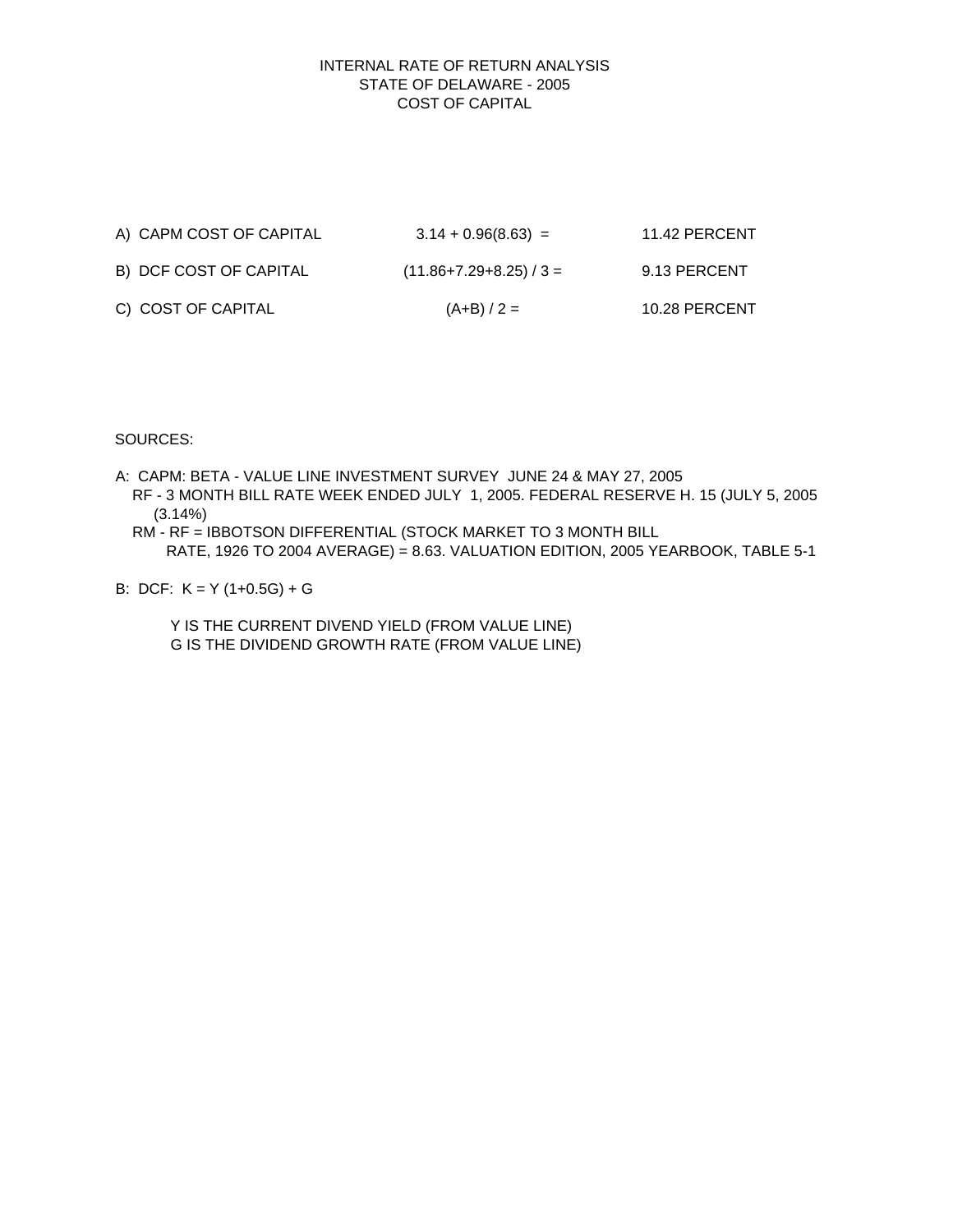### STATE OF DELAWARE - 2005 COST OF CAPITAL INTERNAL RATE OF RETURN ANALYSIS

| A) CAPM COST OF CAPITAL | $3.14 + 0.96(8.63) =$   | 11.42 PERCENT |
|-------------------------|-------------------------|---------------|
| B) DCF COST OF CAPITAL  | $(11.86+7.29+8.25)/3 =$ | 9.13 PERCENT  |
| C) COST OF CAPITAL      | $(A+B)/2 =$             | 10.28 PERCENT |

SOURCES:

- A: CAPM: BETA VALUE LINE INVESTMENT SURVEY JUNE 24 & MAY 27, 2005 RF - 3 MONTH BILL RATE WEEK ENDED JULY 1, 2005. FEDERAL RESERVE H. 15 (JULY 5, 2005 (3.14%)
	- RM RF = IBBOTSON DIFFERENTIAL (STOCK MARKET TO 3 MONTH BILL RATE, 1926 TO 2004 AVERAGE) = 8.63. VALUATION EDITION, 2005 YEARBOOK, TABLE 5-1

B: DCF: K = Y (1+0.5G) + G

 Y IS THE CURRENT DIVEND YIELD (FROM VALUE LINE) G IS THE DIVIDEND GROWTH RATE (FROM VALUE LINE)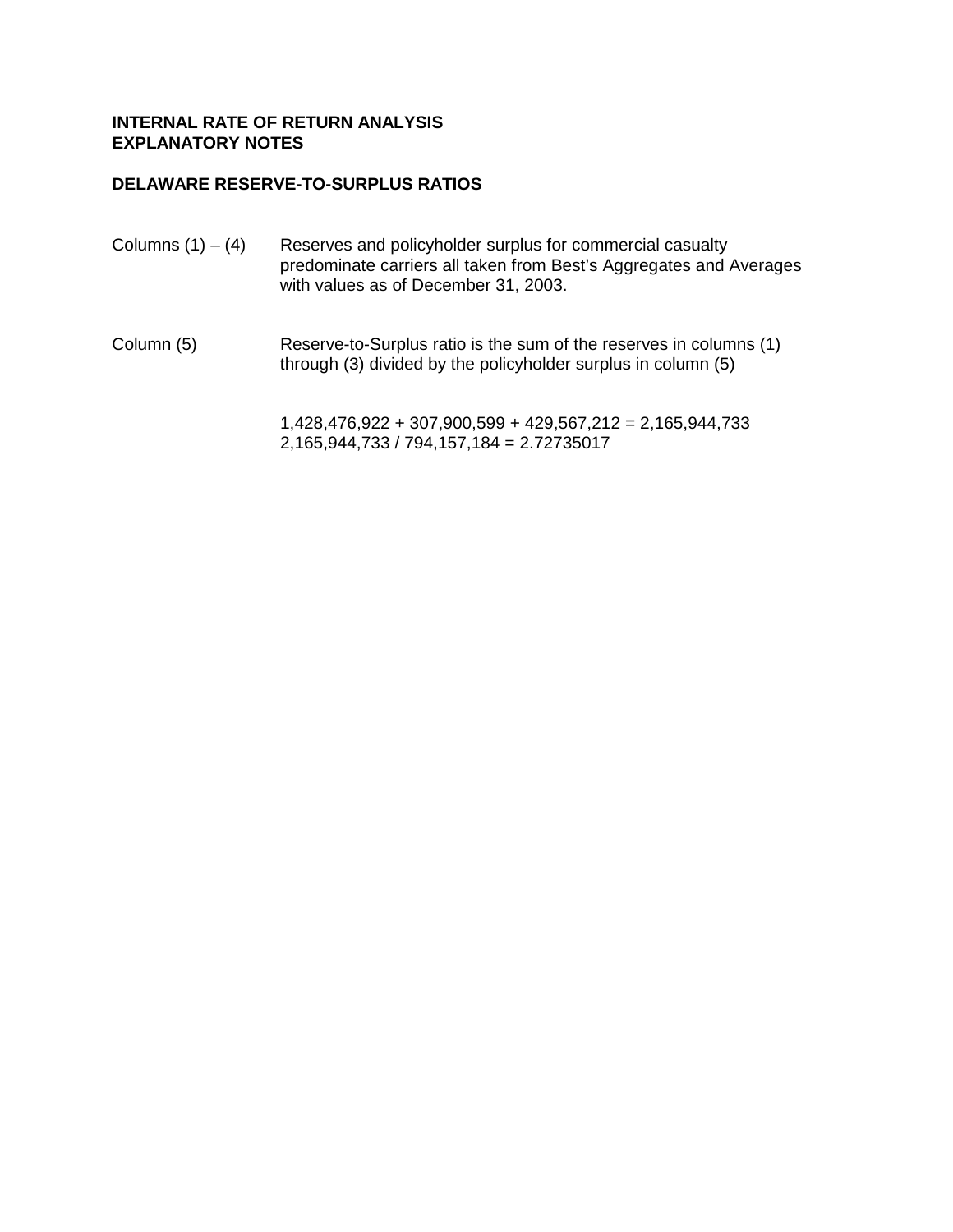# **DELAWARE RESERVE-TO-SURPLUS RATIOS**

| Columns $(1) - (4)$ | Reserves and policyholder surplus for commercial casualty<br>predominate carriers all taken from Best's Aggregates and Averages<br>with values as of December 31, 2003. |
|---------------------|-------------------------------------------------------------------------------------------------------------------------------------------------------------------------|
|                     |                                                                                                                                                                         |

Column (5) Reserve-to-Surplus ratio is the sum of the reserves in columns (1) through (3) divided by the policyholder surplus in column (5)

> 1,428,476,922 + 307,900,599 + 429,567,212 = 2,165,944,733 2,165,944,733 / 794,157,184 = 2.72735017